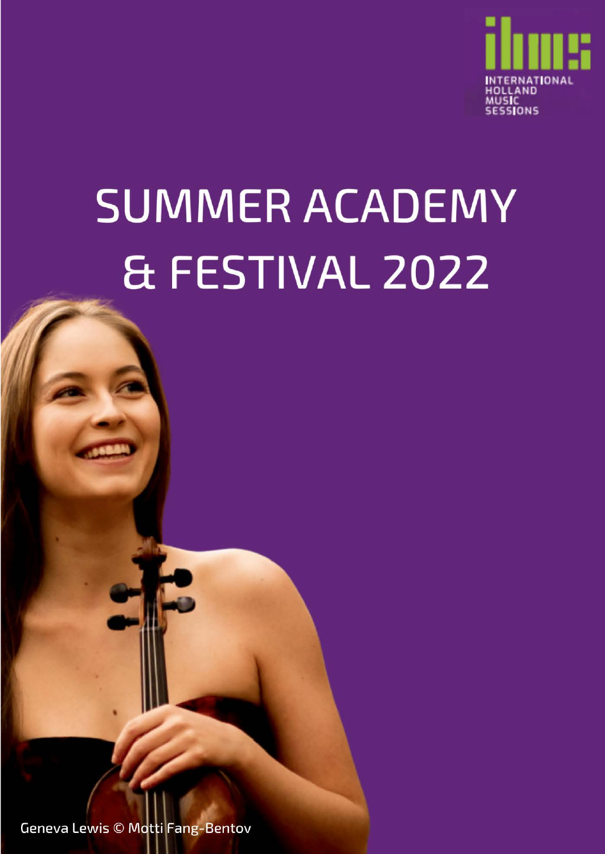

# **SUMMER ACADEMY** & FESTIVAL 2022

**Geneva Lewis © Motti Fang-Bentov**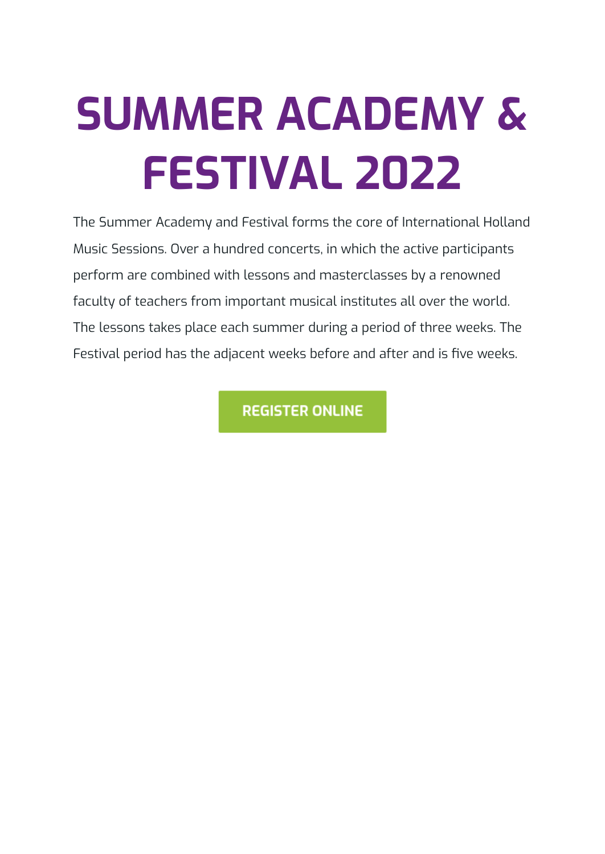# **SUMMER ACADEMY & FESTIVAL 2022**

The Summer Academy and Festival forms the core of International Holland Music Sessions. Over a hundred concerts, in which the active participants perform are combined with lessons and masterclasses by a renowned faculty of teachers from important musical institutes all over the world. The lessons takes place each summer during a period of three weeks. The Festival period has the adjacent weeks before and after and is five weeks.

**REGISTER ONLINE**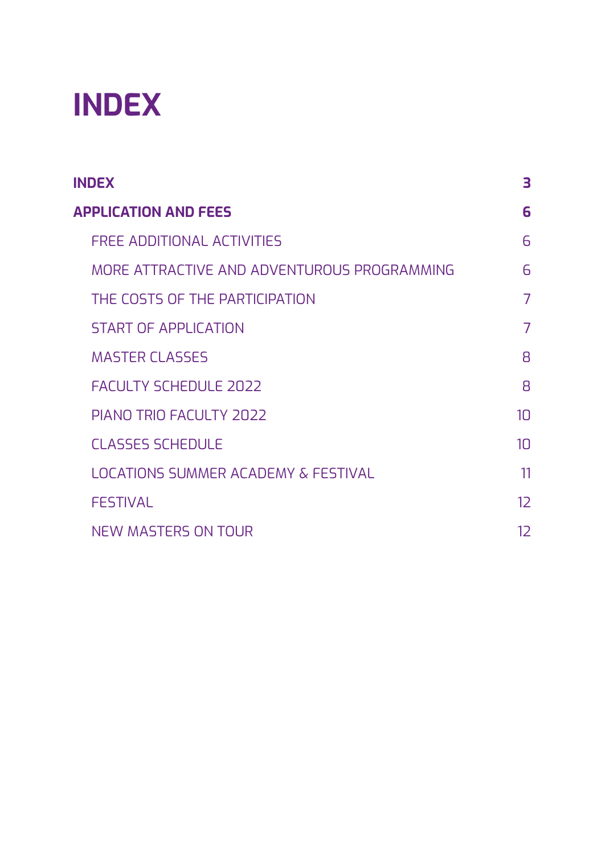## <span id="page-2-0"></span>**INDEX**

| <b>INDEX</b>                                | 3               |
|---------------------------------------------|-----------------|
| <b>APPLICATION AND FEES</b>                 | 6               |
| <b>FREE ADDITIONAL ACTIVITIES</b>           | 6               |
| MORE ATTRACTIVE AND ADVENTUROUS PROGRAMMING | $\overline{6}$  |
| THE COSTS OF THE PARTICIPATION              | 7               |
| <b>START OF APPLICATION</b>                 | 7               |
| <b>MASTER CLASSES</b>                       | $\mathsf{B}$    |
| <b>FACULTY SCHEDULE 2022</b>                | $\mathsf{B}$    |
| PIANO TRIO FACULTY 2022                     | 1 <sub>0</sub>  |
| <b>CLASSES SCHEDULE</b>                     | 10 <sup>1</sup> |
| LOCATIONS SUMMER ACADEMY & FESTIVAL         | 11              |
| <b>FESTIVAL</b>                             | 12              |
| <b>NEW MASTERS ON TOUR</b>                  | 12              |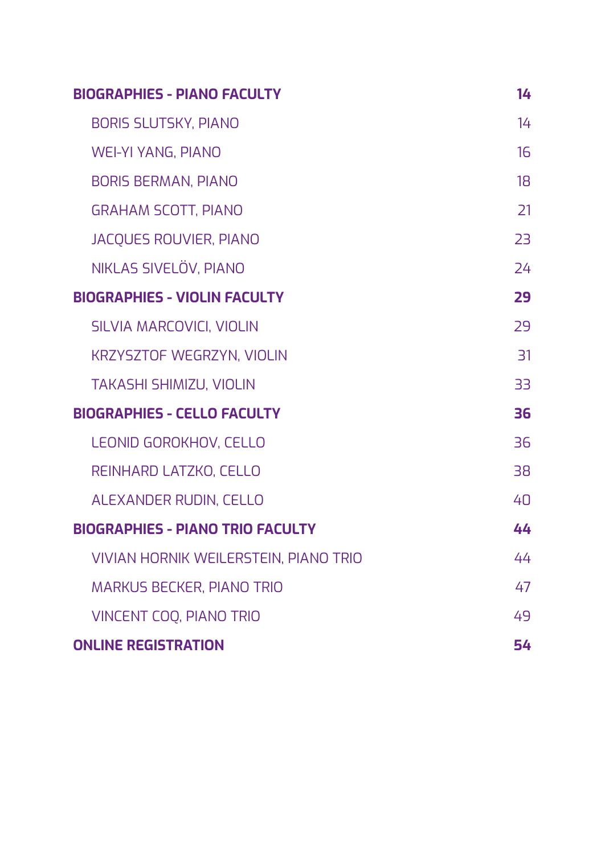| <b>BIOGRAPHIES - PIANO FACULTY</b>      | 14 |
|-----------------------------------------|----|
| <b>BORIS SLUTSKY, PIANO</b>             | 14 |
| <b>WEI-YI YANG, PIANO</b>               | 16 |
| <b>BORIS BERMAN, PIANO</b>              | 18 |
| <b>GRAHAM SCOTT, PIANO</b>              | 21 |
| <b>JACQUES ROUVIER, PIANO</b>           | 23 |
| NIKLAS SIVELÖV, PIANO                   | 24 |
| <b>BIOGRAPHIES - VIOLIN FACULTY</b>     | 29 |
| SILVIA MARCOVICI, VIOLIN                | 29 |
| <b>KRZYSZTOF WEGRZYN, VIOLIN</b>        | 31 |
| <b>TAKASHI SHIMIZU, VIOLIN</b>          | 33 |
| <b>BIOGRAPHIES - CELLO FACULTY</b>      | 36 |
| LEONID GOROKHOV, CELLO                  | 36 |
| REINHARD LATZKO, CELLO                  | 38 |
| ALEXANDER RUDIN, CELLO                  | 40 |
| <b>BIOGRAPHIES - PIANO TRIO FACULTY</b> | 44 |
| VIVIAN HORNIK WEILERSTEIN, PIANO TRIO   | 44 |
| <b>MARKUS BECKER, PIANO TRIO</b>        | 47 |
| <b>VINCENT COO, PIANO TRIO</b>          | 49 |
| <b>ONLINE REGISTRATION</b>              | 54 |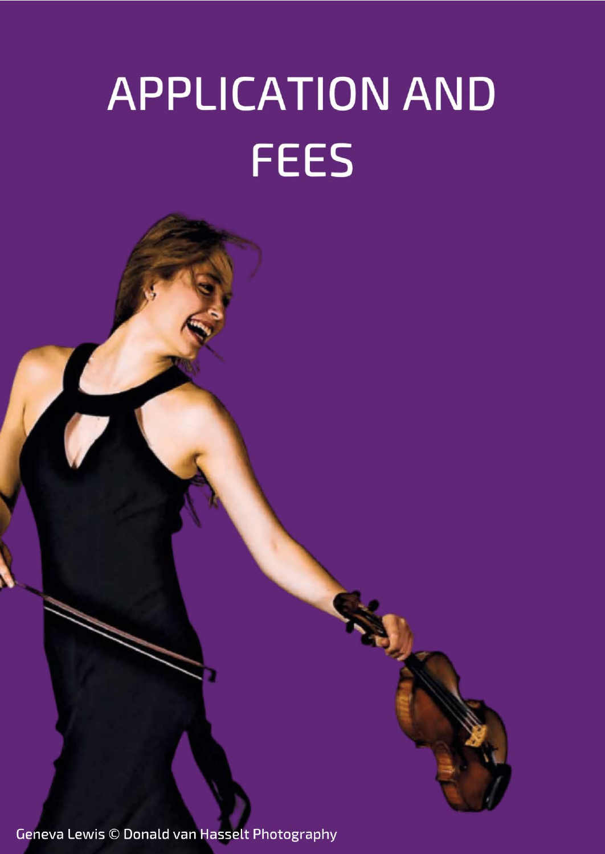# **APPLICATION AND FEES**

Geneva Lewis © Donald van Hasselt Photography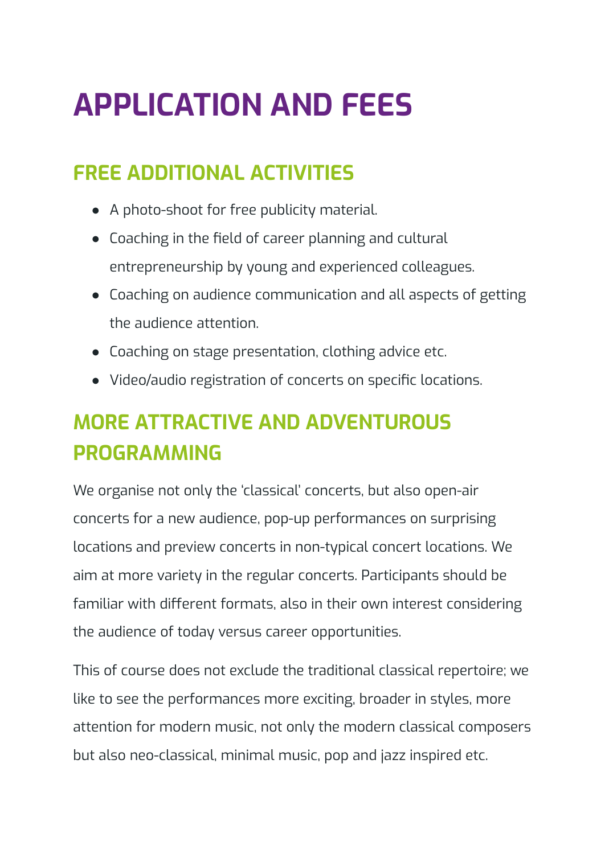## <span id="page-5-0"></span>**APPLICATION AND FEES**

## <span id="page-5-1"></span>**FREE ADDITIONAL ACTIVITIES**

- A photo-shoot for free publicity material.
- Coaching in the field of career planning and cultural entrepreneurship by young and experienced colleagues.
- Coaching on audience communication and all aspects of getting the audience attention.
- Coaching on stage presentation, clothing advice etc.
- Video/audio registration of concerts on specific locations.

## <span id="page-5-2"></span>**MORE ATTRACTIVE AND ADVENTUROUS PROGRAMMING**

We organise not only the 'classical' concerts, but also open-air concerts for a new audience, pop-up performances on surprising locations and preview concerts in non-typical concert locations. We aim at more variety in the regular concerts. Participants should be familiar with different formats, also in their own interest considering the audience of today versus career opportunities.

This of course does not exclude the traditional classical repertoire; we like to see the performances more exciting, broader in styles, more attention for modern music, not only the modern classical composers but also neo-classical, minimal music, pop and jazz inspired etc.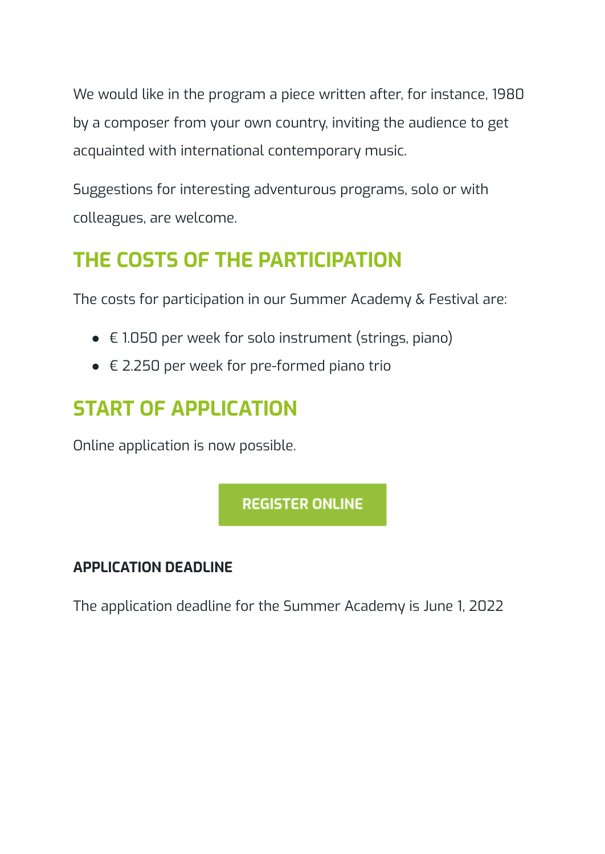We would like in the program a piece written after, for instance, 1980 by a composer from your own country, inviting the audience to get acquainted with international contemporary music.

Suggestions for interesting adventurous programs, solo or with colleagues, are welcome.

## <span id="page-6-0"></span>**THE COSTS OF THE PARTICIPATION**

The costs for participation in our Summer Academy & Festival are:

- $\bullet$   $\in$  1.050 per week for solo instrument (strings, piano)
- $\bullet \in$  2.250 per week for pre-formed piano trio

## <span id="page-6-1"></span>**START OF APPLICATION**

Online application is now possible.

**REGISTER ONLINE** 

#### **APPLICATION DEADLINE**

The application deadline for the Summer Academy is June 1, 2022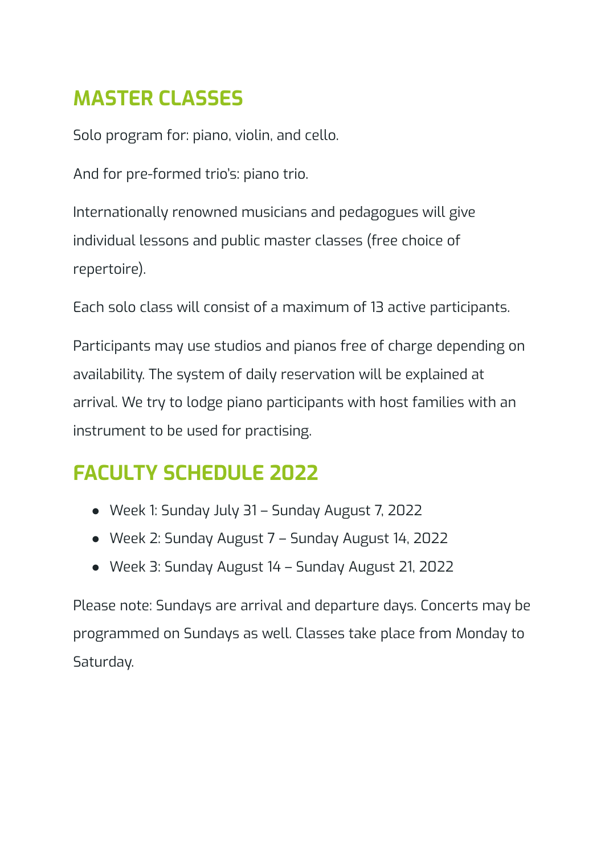## <span id="page-7-0"></span>**MASTER CLASSES**

Solo program for: piano, violin, and cello.

And for pre-formed trio's: piano trio.

Internationally renowned musicians and pedagogues will give individual lessons and public master classes (free choice of repertoire).

Each solo class will consist of a maximum of 13 active participants.

Participants may use studios and pianos free of charge depending on availability. The system of daily reservation will be explained at arrival. We try to lodge piano participants with host families with an instrument to be used for practising.

## <span id="page-7-1"></span>**FACULTY SCHEDULE 2022**

- Week 1: Sunday July 31 Sunday August 7, 2022
- Week 2: Sunday August 7 Sunday August 14, 2022
- Week 3: Sunday August 14 Sunday August 21, 2022

Please note: Sundays are arrival and departure days. Concerts may be programmed on Sundays as well. Classes take place from Monday to Saturday.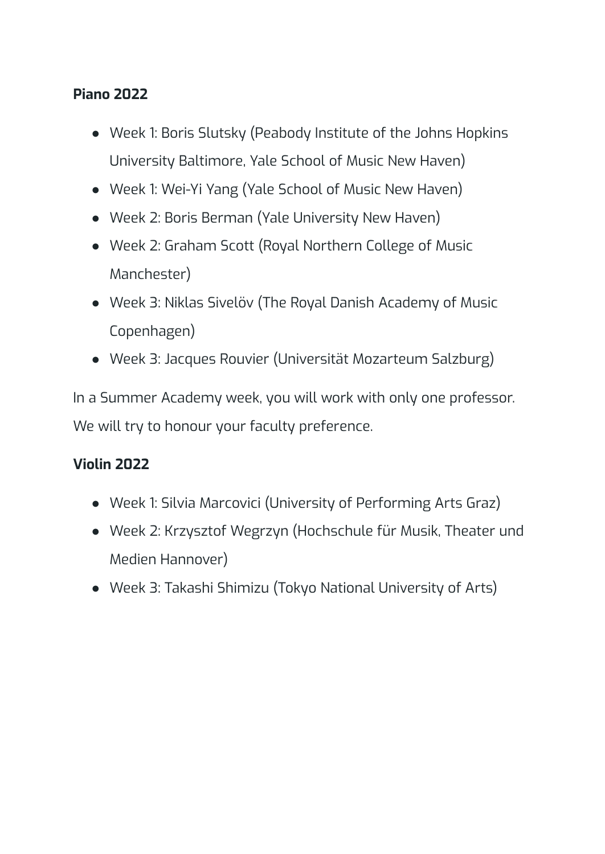#### **Piano 2022**

- Week 1: Boris Slutsky (Peabody Institute of the Johns Hopkins University Baltimore, Yale School of Music New Haven)
- Week 1: Wei-Yi Yang (Yale School of Music New Haven)
- Week 2: Boris Berman (Yale University New Haven)
- Week 2: Graham Scott (Royal Northern College of Music Manchester)
- Week 3: Niklas Sivelöv (The Royal Danish Academy of Music Copenhagen)
- Week 3: Jacques Rouvier (Universität Mozarteum Salzburg)

In a Summer Academy week, you will work with only one professor. We will try to honour your faculty preference.

#### **Violin 2022**

- Week 1: Silvia Marcovici (University of Performing Arts Graz)
- Week 2: Krzysztof Wegrzyn (Hochschule für Musik, Theater und Medien Hannover)
- Week 3: Takashi Shimizu (Tokyo National University of Arts)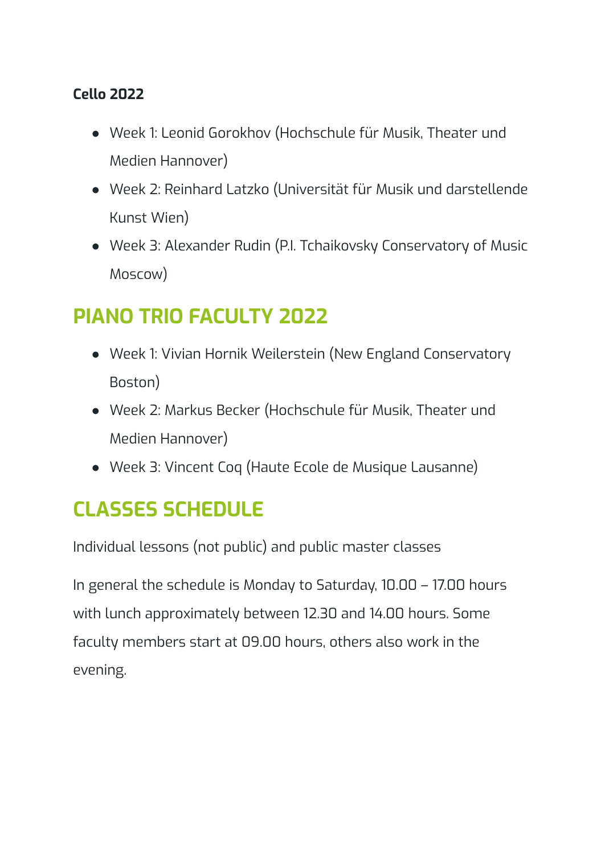#### **Cello 2022**

- Week 1: Leonid Gorokhov (Hochschule für Musik, Theater und Medien Hannover)
- Week 2: Reinhard Latzko (Universität für Musik und darstellende Kunst Wien)
- Week 3: Alexander Rudin (P.I. Tchaikovsky Conservatory of Music Moscow)

## <span id="page-9-0"></span>**PIANO TRIO FACULTY 2022**

- Week 1: Vivian Hornik Weilerstein (New England Conservatory Boston)
- Week 2: Markus Becker (Hochschule für Musik, Theater und Medien Hannover)
- Week 3: Vincent Coq (Haute Ecole de Musique Lausanne)

## <span id="page-9-1"></span>**CLASSES SCHEDULE**

Individual lessons (not public) and public master classes

In general the schedule is Monday to Saturday, 10.00 – 17.00 hours with lunch approximately between 12.30 and 14.00 hours. Some faculty members start at 09.00 hours, others also work in the evening.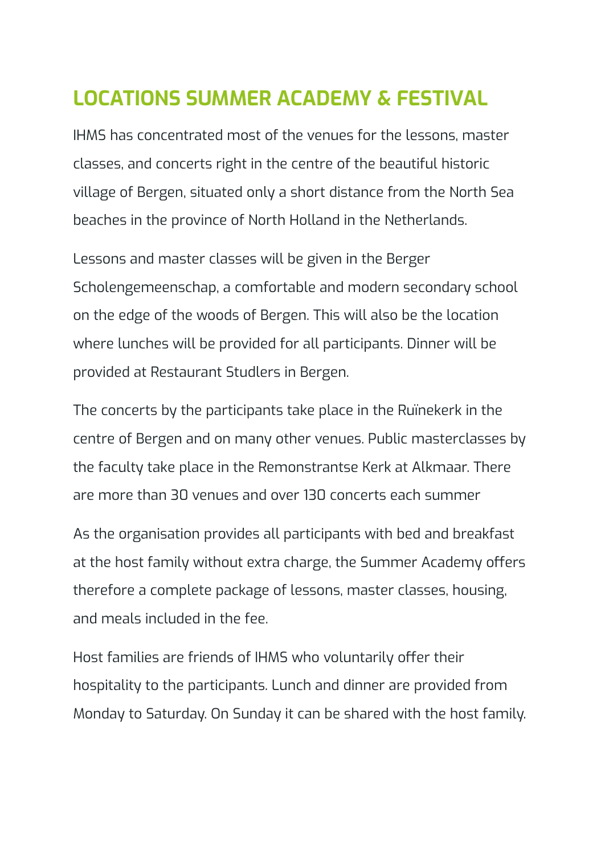## <span id="page-10-0"></span>**LOCATIONS SUMMER ACADEMY & FESTIVAL**

IHMS has concentrated most of the venues for the lessons, master classes, and concerts right in the centre of the beautiful historic village of Bergen, situated only a short distance from the North Sea beaches in the province of North Holland in the Netherlands.

Lessons and master classes will be given in the Berger Scholengemeenschap, a comfortable and modern secondary school on the edge of the woods of Bergen. This will also be the location where lunches will be provided for all participants. Dinner will be provided at Restaurant Studlers in Bergen.

The concerts by the participants take place in the Ruïnekerk in the centre of Bergen and on many other venues. Public masterclasses by the faculty take place in the Remonstrantse Kerk at Alkmaar. There are more than 30 venues and over 130 concerts each summer

As the organisation provides all participants with bed and breakfast at the host family without extra charge, the Summer Academy offers therefore a complete package of lessons, master classes, housing, and meals included in the fee.

Host families are friends of IHMS who voluntarily offer their hospitality to the participants. Lunch and dinner are provided from Monday to Saturday. On Sunday it can be shared with the host family.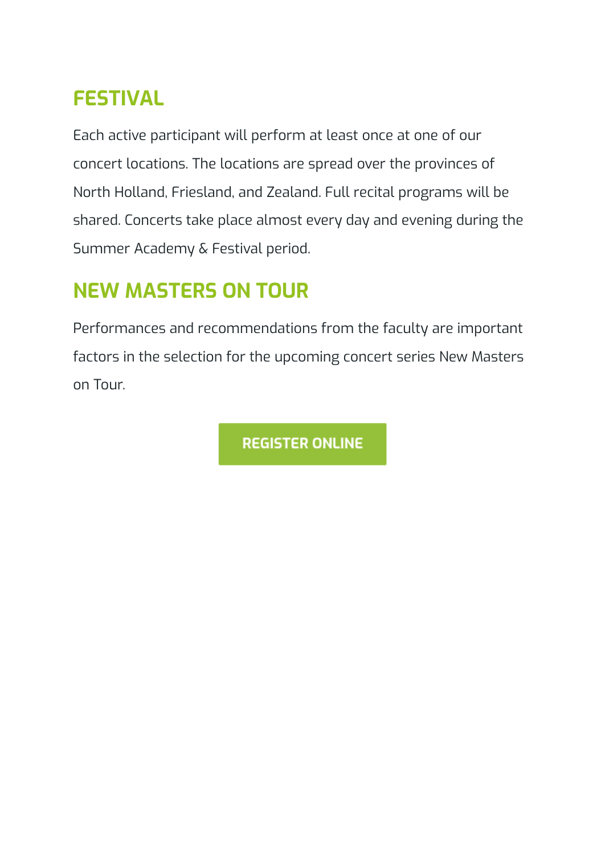## <span id="page-11-0"></span>**FESTIVAL**

Each active participant will perform at least once at one of our concert locations. The locations are spread over the provinces of North Holland, Friesland, and Zealand. Full recital programs will be shared. Concerts take place almost every day and evening during the Summer Academy & Festival period.

## <span id="page-11-1"></span>**NEW MASTERS ON TOUR**

Performances and recommendations from the faculty are important factors in the selection for the upcoming concert series New Masters on Tour.

**REGISTER ONLINE**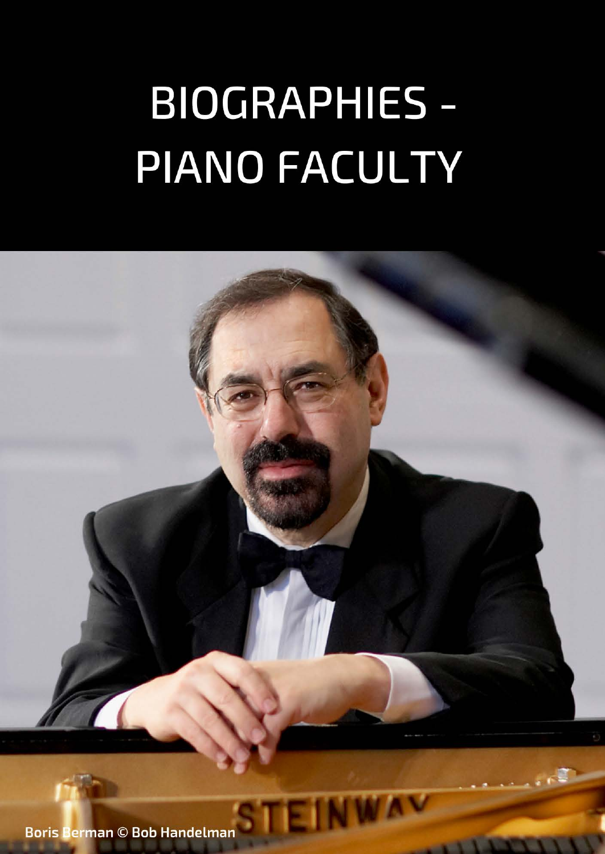# **BIOGRAPHIES -**PIANO FACULTY

**Boris Berman © Bob Handelman**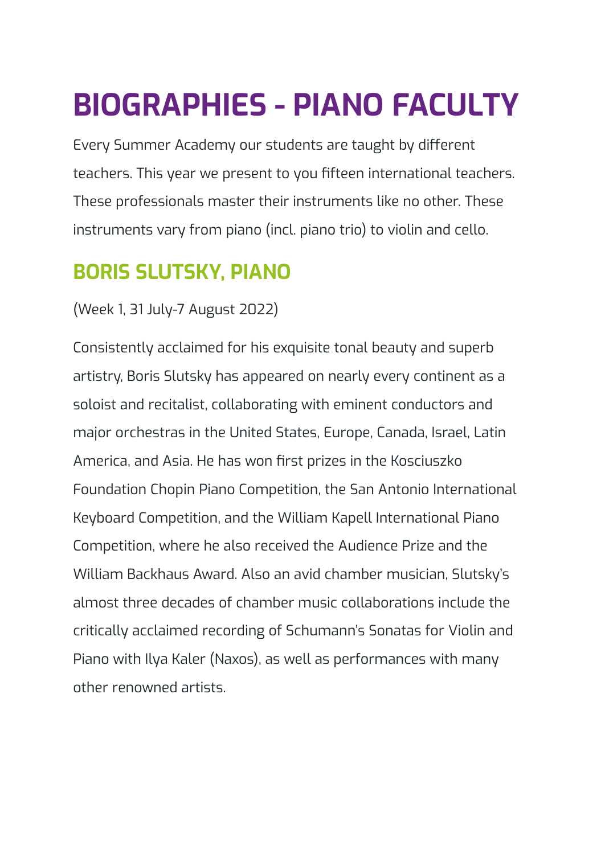## <span id="page-13-0"></span>**BIOGRAPHIES - PIANO FACULTY**

Every Summer Academy our students are taught by different teachers. This year we present to you fifteen international teachers. These professionals master their instruments like no other. These instruments vary from piano (incl. piano trio) to violin and cello.

## <span id="page-13-1"></span>**BORIS SLUTSKY, PIANO**

#### (Week 1, 31 July-7 August 2022)

Consistently acclaimed for his exquisite tonal beauty and superb artistry, Boris Slutsky has appeared on nearly every continent as a soloist and recitalist, collaborating with eminent conductors and major orchestras in the United States, Europe, Canada, Israel, Latin America, and Asia. He has won first prizes in the Kosciuszko Foundation Chopin Piano Competition, the San Antonio International Keyboard Competition, and the William Kapell International Piano Competition, where he also received the Audience Prize and the William Backhaus Award. Also an avid chamber musician, Slutsky's almost three decades of chamber music collaborations include the critically acclaimed recording of Schumann's Sonatas for Violin and Piano with Ilya Kaler (Naxos), as well as performances with many other renowned artists.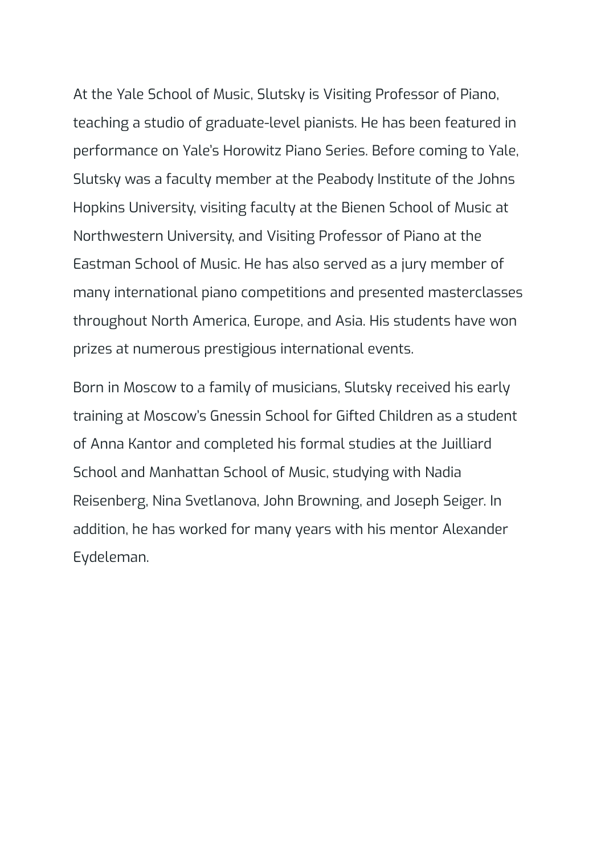At the Yale School of Music, Slutsky is Visiting Professor of Piano, teaching a studio of graduate-level pianists. He has been featured in performance on Yale's Horowitz Piano Series. Before coming to Yale, Slutsky was a faculty member at the Peabody Institute of the Johns Hopkins University, visiting faculty at the Bienen School of Music at Northwestern University, and Visiting Professor of Piano at the Eastman School of Music. He has also served as a jury member of many international piano competitions and presented masterclasses throughout North America, Europe, and Asia. His students have won prizes at numerous prestigious international events.

Born in Moscow to a family of musicians, Slutsky received his early training at Moscow's Gnessin School for Gifted Children as a student of Anna Kantor and completed his formal studies at the Juilliard School and Manhattan School of Music, studying with Nadia Reisenberg, Nina Svetlanova, John Browning, and Joseph Seiger. In addition, he has worked for many years with his mentor Alexander Eydeleman.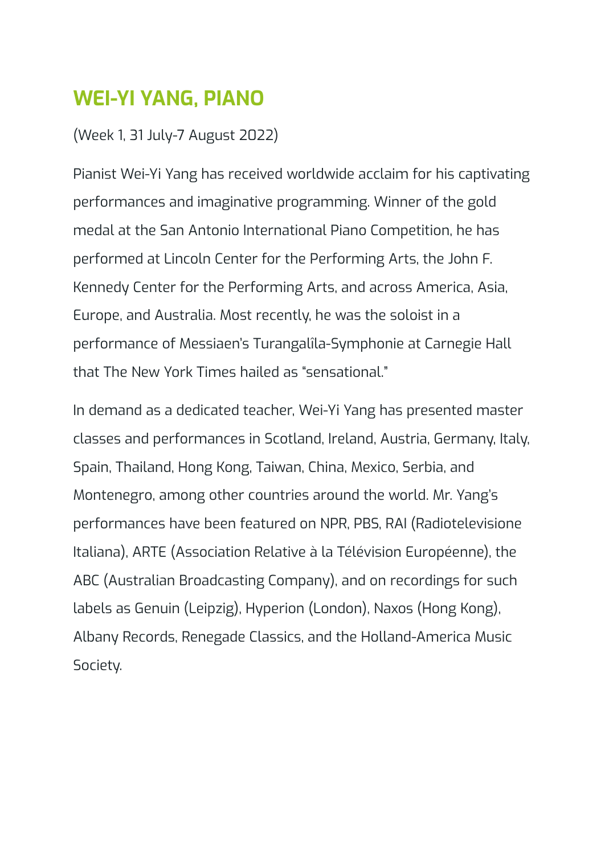### <span id="page-15-0"></span>**WEI-YI YANG, PIANO**

#### (Week 1, 31 July-7 August 2022)

Pianist Wei-Yi Yang has received worldwide acclaim for his captivating performances and imaginative programming. Winner of the gold medal at the San Antonio International Piano Competition, he has performed at Lincoln Center for the Performing Arts, the John F. Kennedy Center for the Performing Arts, and across America, Asia, Europe, and Australia. Most recently, he was the soloist in a performance of Messiaen's Turangalîla-Symphonie at Carnegie Hall that The New York Times hailed as "sensational."

In demand as a dedicated teacher, Wei-Yi Yang has presented master classes and performances in Scotland, Ireland, Austria, Germany, Italy, Spain, Thailand, Hong Kong, Taiwan, China, Mexico, Serbia, and Montenegro, among other countries around the world. Mr. Yang's performances have been featured on NPR, PBS, RAI (Radiotelevisione Italiana), ARTE (Association Relative à la Télévision Européenne), the ABC (Australian Broadcasting Company), and on recordings for such labels as Genuin (Leipzig), Hyperion (London), Naxos (Hong Kong), Albany Records, Renegade Classics, and the Holland-America Music Society.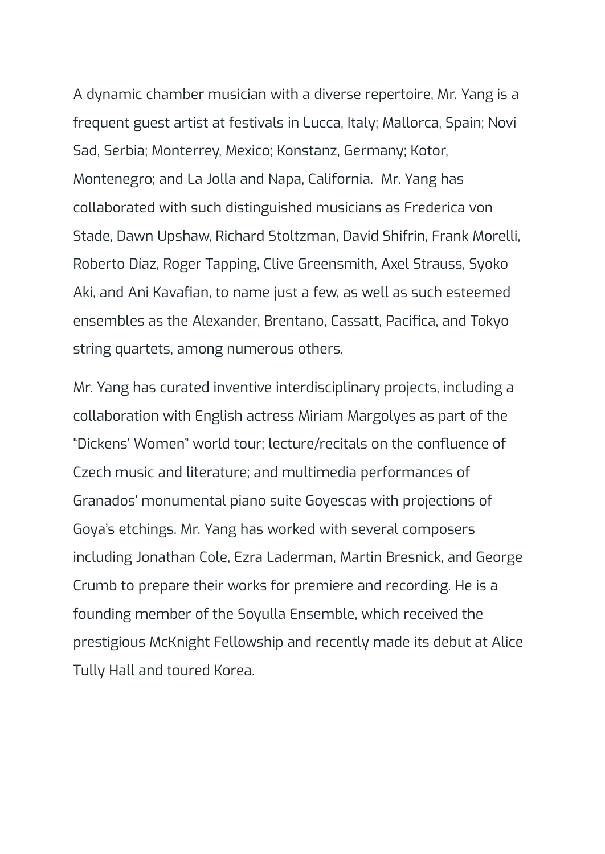A dynamic chamber musician with a diverse repertoire, Mr. Yang is a frequent guest artist at festivals in Lucca, Italy; Mallorca, Spain; Novi Sad, Serbia; Monterrey, Mexico; Konstanz, Germany; Kotor, Montenegro; and La Jolla and Napa, California. Mr. Yang has collaborated with such distinguished musicians as Frederica von Stade, Dawn Upshaw, Richard Stoltzman, David Shifrin, Frank Morelli, Roberto Díaz, Roger Tapping, Clive Greensmith, Axel Strauss, Syoko Aki, and Ani Kavafian, to name just a few, as well as such esteemed ensembles as the Alexander, Brentano, Cassatt, Pacifica, and Tokyo string quartets, among numerous others.

Mr. Yang has curated inventive interdisciplinary projects, including a collaboration with English actress Miriam Margolyes as part of the "Dickens' Women" world tour; lecture/recitals on the confluence of Czech music and literature; and multimedia performances of Granados' monumental piano suite Goyescas with projections of Goya's etchings. Mr. Yang has worked with several composers including Jonathan Cole, Ezra Laderman, Martin Bresnick, and George Crumb to prepare their works for premiere and recording. He is a founding member of the Soyulla Ensemble, which received the prestigious McKnight Fellowship and recently made its debut at Alice Tully Hall and toured Korea.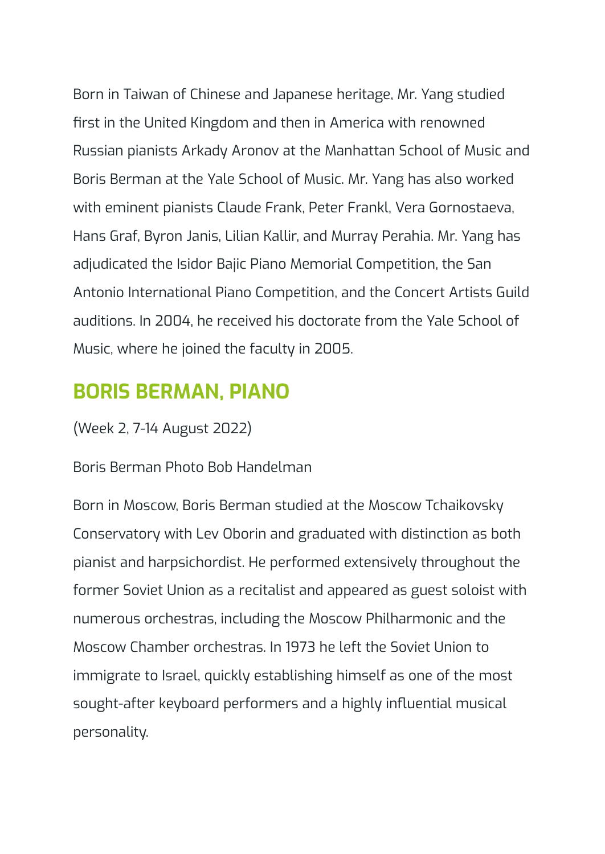Born in Taiwan of Chinese and Japanese heritage, Mr. Yang studied first in the United Kingdom and then in America with renowned Russian pianists Arkady Aronov at the Manhattan School of Music and Boris Berman at the Yale School of Music. Mr. Yang has also worked with eminent pianists Claude Frank, Peter Frankl, Vera Gornostaeva, Hans Graf, Byron Janis, Lilian Kallir, and Murray Perahia. Mr. Yang has adjudicated the Isidor Bajic Piano Memorial Competition, the San Antonio International Piano Competition, and the Concert Artists Guild auditions. In 2004, he received his doctorate from the Yale School of Music, where he joined the faculty in 2005.

### <span id="page-17-0"></span>**BORIS BERMAN, PIANO**

(Week 2, 7-14 August 2022)

#### Boris Berman Photo Bob Handelman

Born in Moscow, Boris Berman studied at the Moscow Tchaikovsky Conservatory with Lev Oborin and graduated with distinction as both pianist and harpsichordist. He performed extensively throughout the former Soviet Union as a recitalist and appeared as guest soloist with numerous orchestras, including the Moscow Philharmonic and the Moscow Chamber orchestras. In 1973 he left the Soviet Union to immigrate to Israel, quickly establishing himself as one of the most sought-after keyboard performers and a highly influential musical personality.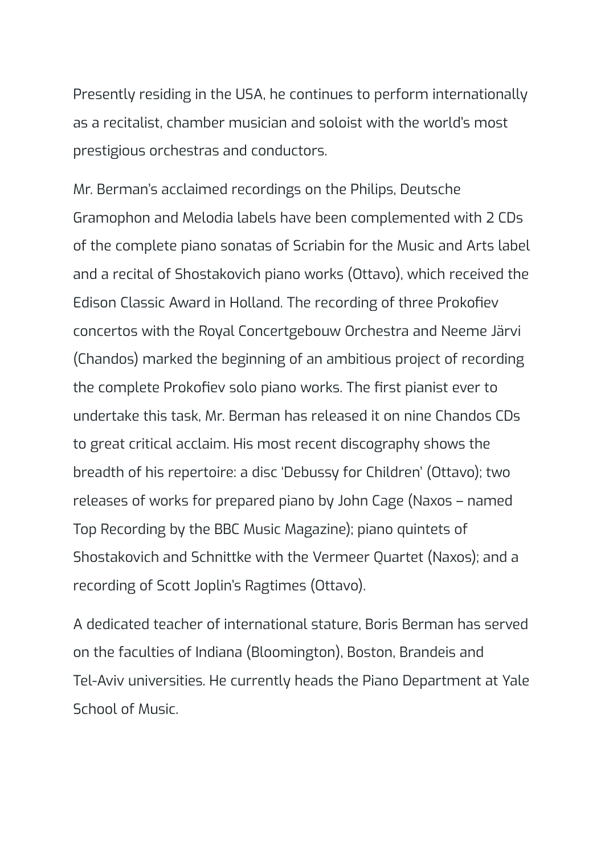Presently residing in the USA, he continues to perform internationally as a recitalist, chamber musician and soloist with the world's most prestigious orchestras and conductors.

Mr. Berman's acclaimed recordings on the Philips, Deutsche Gramophon and Melodia labels have been complemented with 2 CDs of the complete piano sonatas of Scriabin for the Music and Arts label and a recital of Shostakovich piano works (Ottavo), which received the Edison Classic Award in Holland. The recording of three Prokofiev concertos with the Royal Concertgebouw Orchestra and Neeme Järvi (Chandos) marked the beginning of an ambitious project of recording the complete Prokofiev solo piano works. The first pianist ever to undertake this task, Mr. Berman has released it on nine Chandos CDs to great critical acclaim. His most recent discography shows the breadth of his repertoire: a disc 'Debussy for Children' (Ottavo); two releases of works for prepared piano by John Cage (Naxos – named Top Recording by the BBC Music Magazine); piano quintets of Shostakovich and Schnittke with the Vermeer Quartet (Naxos); and a recording of Scott Joplin's Ragtimes (Ottavo).

A dedicated teacher of international stature, Boris Berman has served on the faculties of Indiana (Bloomington), Boston, Brandeis and Tel-Aviv universities. He currently heads the Piano Department at Yale School of Music.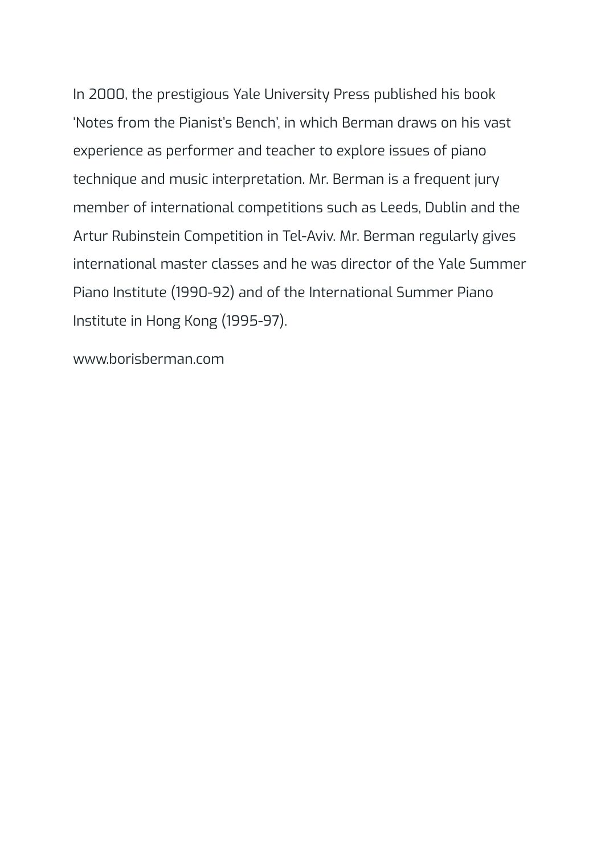In 2000, the prestigious Yale University Press published his book 'Notes from the Pianist's Bench', in which Berman draws on his vast experience as performer and teacher to explore issues of piano technique and music interpretation. Mr. Berman is a frequent jury member of international competitions such as Leeds, Dublin and the Artur Rubinstein Competition in Tel-Aviv. Mr. Berman regularly gives international master classes and he was director of the Yale Summer Piano Institute (1990-92) and of the International Summer Piano Institute in Hong Kong (1995-97).

www.borisberman.com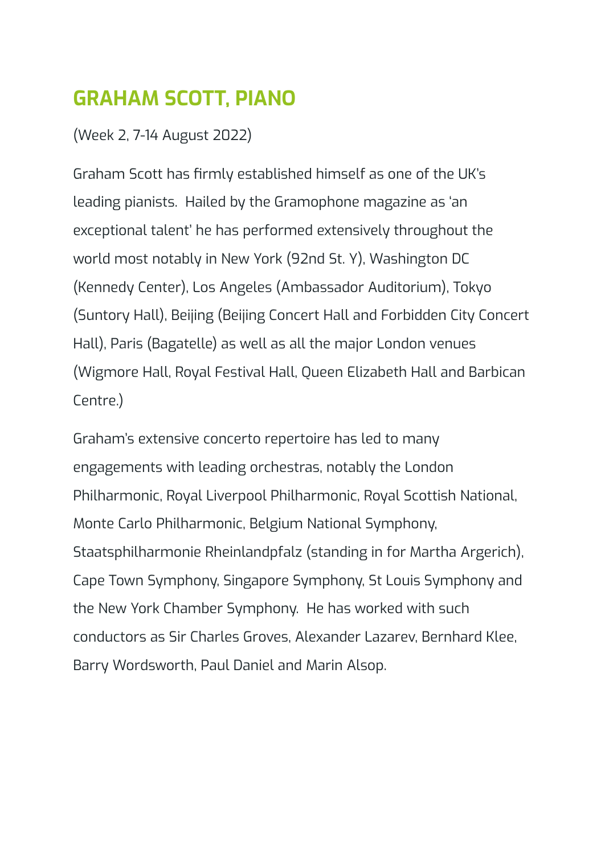## <span id="page-20-0"></span>**GRAHAM SCOTT, PIANO**

(Week 2, 7-14 August 2022)

Graham Scott has firmly established himself as one of the UK's leading pianists. Hailed by the Gramophone magazine as 'an exceptional talent' he has performed extensively throughout the world most notably in New York (92nd St. Y), Washington DC (Kennedy Center), Los Angeles (Ambassador Auditorium), Tokyo (Suntory Hall), Beijing (Beijing Concert Hall and Forbidden City Concert Hall), Paris (Bagatelle) as well as all the major London venues (Wigmore Hall, Royal Festival Hall, Queen Elizabeth Hall and Barbican Centre.)

Graham's extensive concerto repertoire has led to many engagements with leading orchestras, notably the London Philharmonic, Royal Liverpool Philharmonic, Royal Scottish National, Monte Carlo Philharmonic, Belgium National Symphony, Staatsphilharmonie Rheinlandpfalz (standing in for Martha Argerich), Cape Town Symphony, Singapore Symphony, St Louis Symphony and the New York Chamber Symphony. He has worked with such conductors as Sir Charles Groves, Alexander Lazarev, Bernhard Klee, Barry Wordsworth, Paul Daniel and Marin Alsop.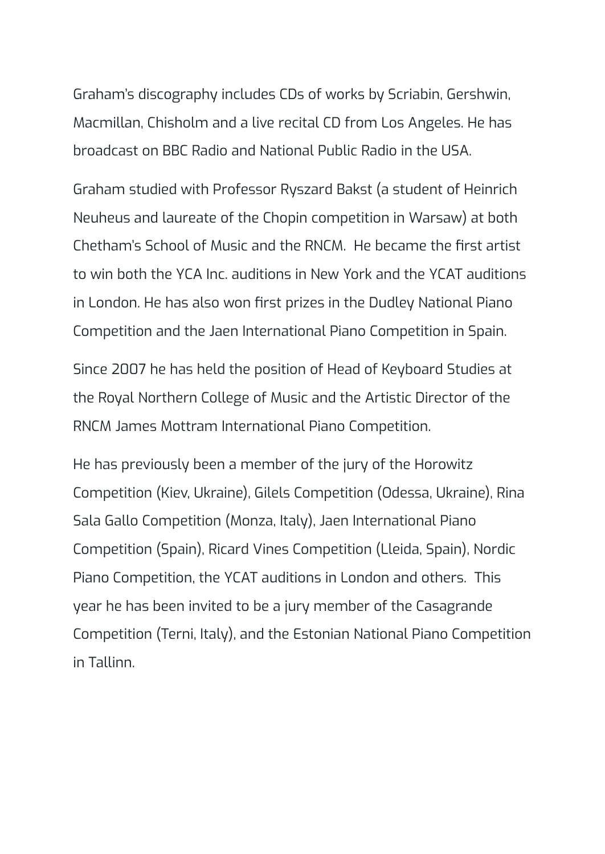Graham's discography includes CDs of works by Scriabin, Gershwin, Macmillan, Chisholm and a live recital CD from Los Angeles. He has broadcast on BBC Radio and National Public Radio in the USA.

Graham studied with Professor Ryszard Bakst (a student of Heinrich Neuheus and laureate of the Chopin competition in Warsaw) at both Chetham's School of Music and the RNCM. He became the first artist to win both the YCA Inc. auditions in New York and the YCAT auditions in London. He has also won first prizes in the Dudley National Piano Competition and the Jaen International Piano Competition in Spain.

Since 2007 he has held the position of Head of Keyboard Studies at the Royal Northern College of Music and the Artistic Director of the RNCM James Mottram International Piano Competition.

He has previously been a member of the jury of the Horowitz Competition (Kiev, Ukraine), Gilels Competition (Odessa, Ukraine), Rina Sala Gallo Competition (Monza, Italy), Jaen International Piano Competition (Spain), Ricard Vines Competition (Lleida, Spain), Nordic Piano Competition, the YCAT auditions in London and others. This year he has been invited to be a jury member of the Casagrande Competition (Terni, Italy), and the Estonian National Piano Competition in Tallinn.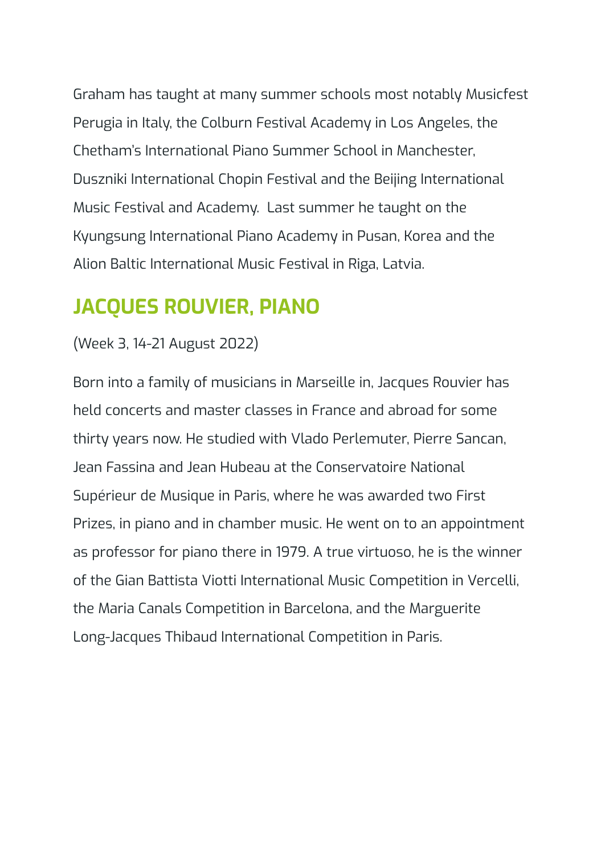Graham has taught at many summer schools most notably Musicfest Perugia in Italy, the Colburn Festival Academy in Los Angeles, the Chetham's International Piano Summer School in Manchester, Duszniki International Chopin Festival and the Beijing International Music Festival and Academy. Last summer he taught on the Kyungsung International Piano Academy in Pusan, Korea and the Alion Baltic International Music Festival in Riga, Latvia.

### <span id="page-22-0"></span>**JACQUES ROUVIER, PIANO**

#### (Week 3, 14-21 August 2022)

Born into a family of musicians in Marseille in, Jacques Rouvier has held concerts and master classes in France and abroad for some thirty years now. He studied with Vlado Perlemuter, Pierre Sancan, Jean Fassina and Jean Hubeau at the Conservatoire National Supérieur de Musique in Paris, where he was awarded two First Prizes, in piano and in chamber music. He went on to an appointment as professor for piano there in 1979. A true virtuoso, he is the winner of the Gian Battista Viotti International Music Competition in Vercelli, the Maria Canals Competition in Barcelona, and the Marguerite Long-Jacques Thibaud International Competition in Paris.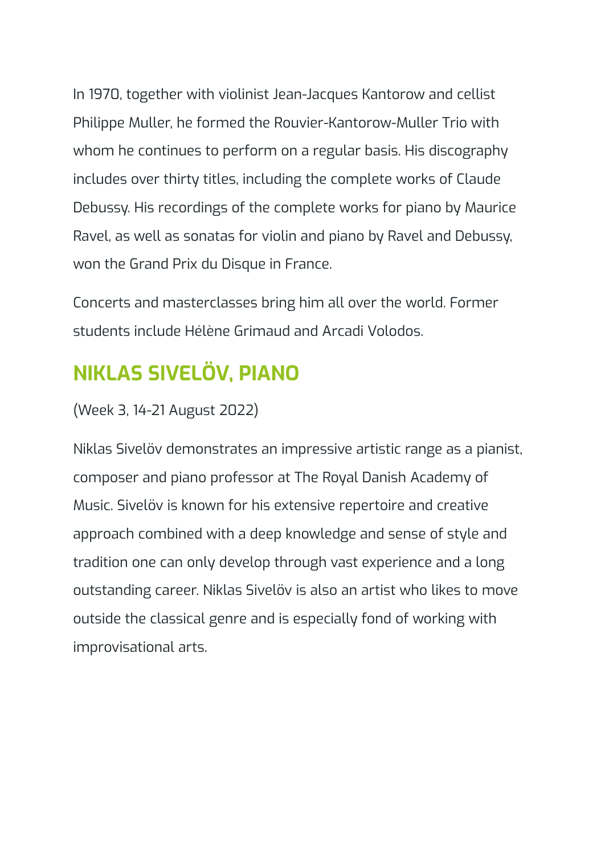In 1970, together with violinist Jean-Jacques Kantorow and cellist Philippe Muller, he formed the Rouvier-Kantorow-Muller Trio with whom he continues to perform on a regular basis. His discography includes over thirty titles, including the complete works of Claude Debussy. His recordings of the complete works for piano by Maurice Ravel, as well as sonatas for violin and piano by Ravel and Debussy, won the Grand Prix du Disque in France.

Concerts and masterclasses bring him all over the world. Former students include Hélène Grimaud and Arcadi Volodos.

## <span id="page-23-0"></span>**NIKLAS SIVELÖV, PIANO**

(Week 3, 14-21 August 2022)

Niklas Sivelöv demonstrates an impressive artistic range as a pianist, composer and piano professor at The Royal Danish Academy of Music. Sivelöv is known for his extensive repertoire and creative approach combined with a deep knowledge and sense of style and tradition one can only develop through vast experience and a long outstanding career. Niklas Sivelöv is also an artist who likes to move outside the classical genre and is especially fond of working with improvisational arts.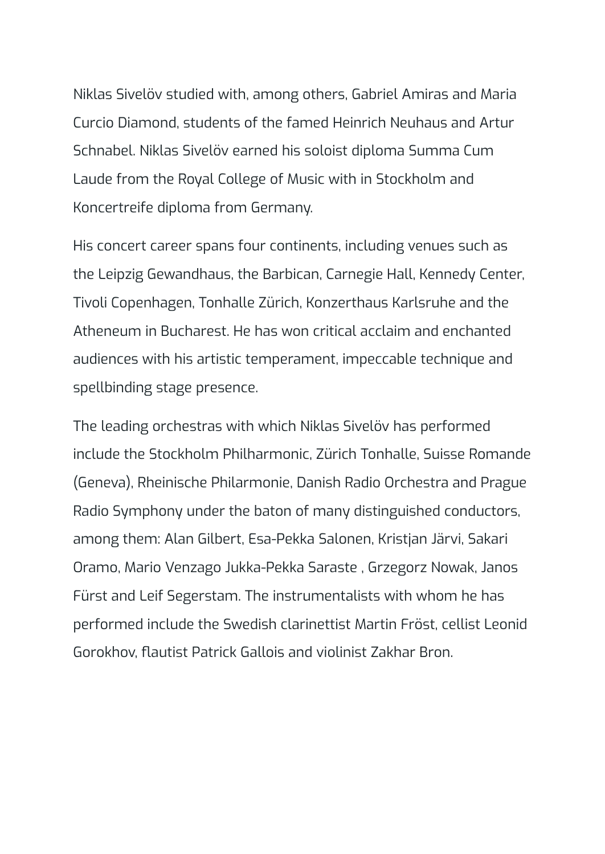Niklas Sivelöv studied with, among others, Gabriel Amiras and Maria Curcio Diamond, students of the famed Heinrich Neuhaus and Artur Schnabel. Niklas Sivelöv earned his soloist diploma Summa Cum Laude from the Royal College of Music with in Stockholm and Koncertreife diploma from Germany.

His concert career spans four continents, including venues such as the Leipzig Gewandhaus, the Barbican, Carnegie Hall, Kennedy Center, Tivoli Copenhagen, Tonhalle Zürich, Konzerthaus Karlsruhe and the Atheneum in Bucharest. He has won critical acclaim and enchanted audiences with his artistic temperament, impeccable technique and spellbinding stage presence.

The leading orchestras with which Niklas Sivelöv has performed include the Stockholm Philharmonic, Zürich Tonhalle, Suisse Romande (Geneva), Rheinische Philarmonie, Danish Radio Orchestra and Prague Radio Symphony under the baton of many distinguished conductors, among them: Alan Gilbert, Esa-Pekka Salonen, Kristjan Järvi, Sakari Oramo, Mario Venzago Jukka-Pekka Saraste , Grzegorz Nowak, Janos Fürst and Leif Segerstam. The instrumentalists with whom he has performed include the Swedish clarinettist Martin Fröst, cellist Leonid Gorokhov, flautist Patrick Gallois and violinist Zakhar Bron.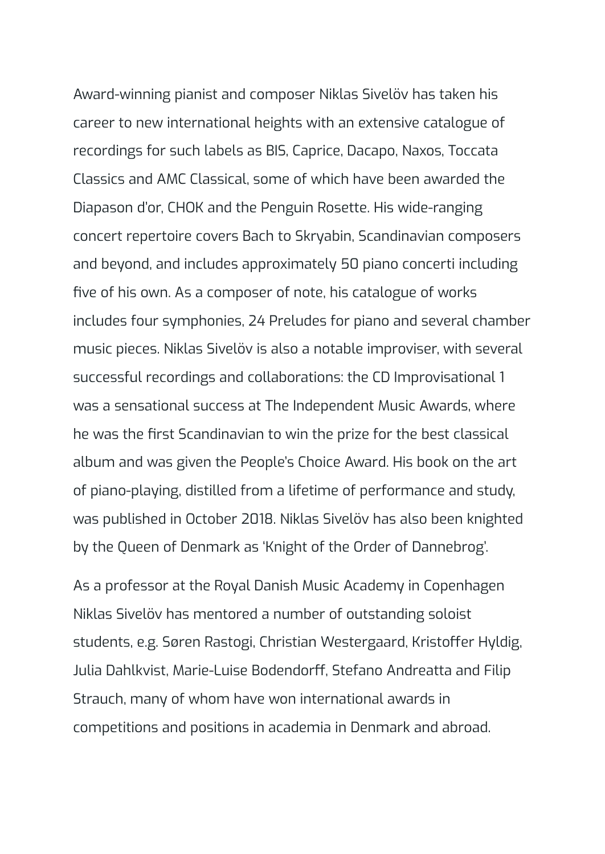Award-winning pianist and composer Niklas Sivelöv has taken his career to new international heights with an extensive catalogue of recordings for such labels as BIS, Caprice, Dacapo, Naxos, Toccata Classics and AMC Classical, some of which have been awarded the Diapason d'or, CHOK and the Penguin Rosette. His wide-ranging concert repertoire covers Bach to Skryabin, Scandinavian composers and beyond, and includes approximately 50 piano concerti including five of his own. As a composer of note, his catalogue of works includes four symphonies, 24 Preludes for piano and several chamber music pieces. Niklas Sivelöv is also a notable improviser, with several successful recordings and collaborations: the CD Improvisational 1 was a sensational success at The Independent Music Awards, where he was the first Scandinavian to win the prize for the best classical album and was given the People's Choice Award. His book on the art of piano-playing, distilled from a lifetime of performance and study, was published in October 2018. Niklas Sivelöv has also been knighted by the Queen of Denmark as 'Knight of the Order of Dannebrog'.

As a professor at the Royal Danish Music Academy in Copenhagen Niklas Sivelöv has mentored a number of outstanding soloist students, e.g. Søren Rastogi, Christian Westergaard, Kristoffer Hyldig, Julia Dahlkvist, Marie-Luise Bodendorff, Stefano Andreatta and Filip Strauch, many of whom have won international awards in competitions and positions in academia in Denmark and abroad.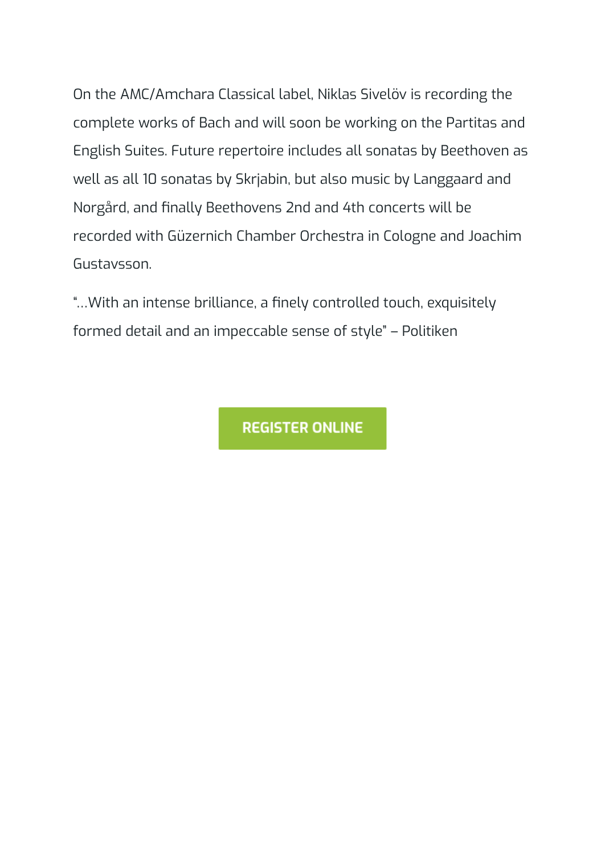On the AMC/Amchara Classical label, Niklas Sivelöv is recording the complete works of Bach and will soon be working on the Partitas and English Suites. Future repertoire includes all sonatas by Beethoven as well as all 10 sonatas by Skrjabin, but also music by Langgaard and Norgård, and finally Beethovens 2nd and 4th concerts will be recorded with Güzernich Chamber Orchestra in Cologne and Joachim Gustavsson.

"…With an intense brilliance, a finely controlled touch, exquisitely formed detail and an impeccable sense of style" – Politiken

**REGISTER ONLINE**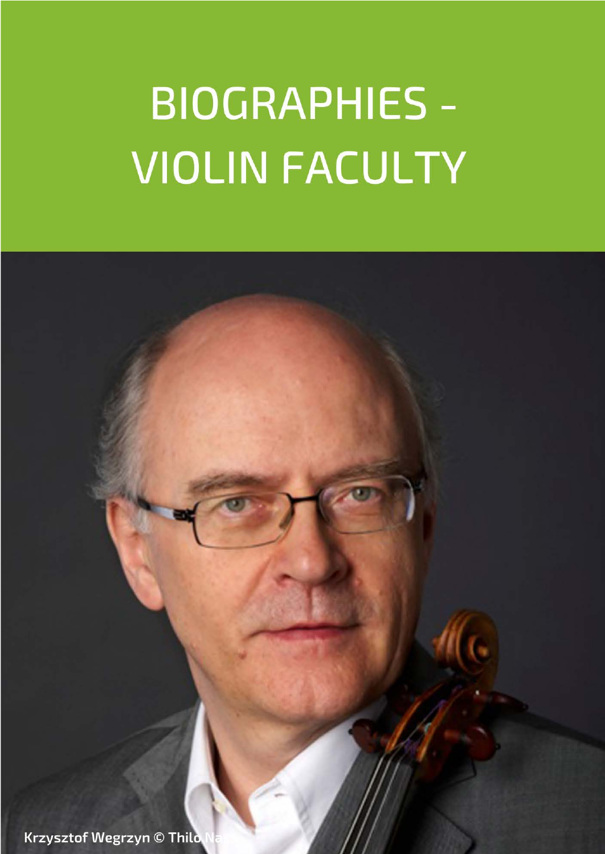# **BIOGRAPHIES -VIOLIN FACULTY**

Krzysztof Wegrzyn © Thilo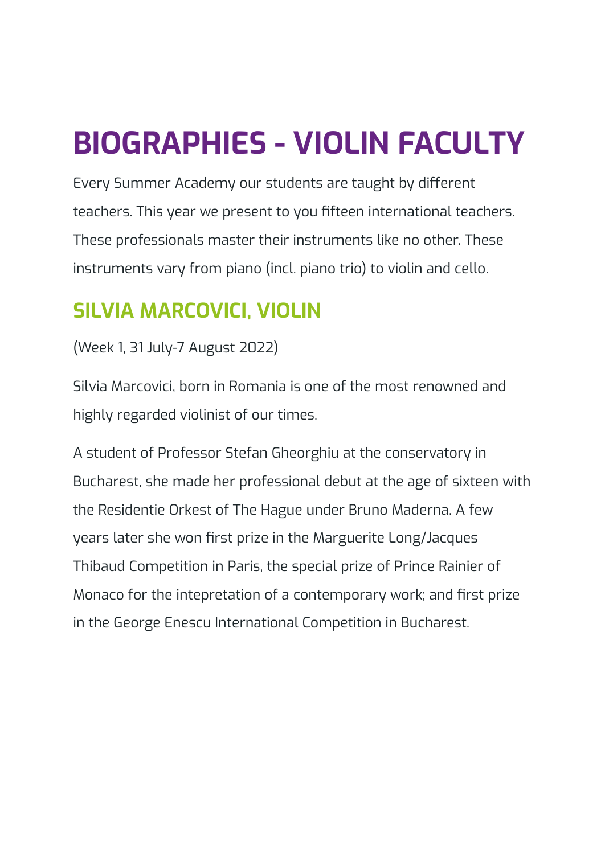## <span id="page-28-0"></span>**BIOGRAPHIES - VIOLIN FACULTY**

Every Summer Academy our students are taught by different teachers. This year we present to you fifteen international teachers. These professionals master their instruments like no other. These instruments vary from piano (incl. piano trio) to violin and cello.

## <span id="page-28-1"></span>**SILVIA MARCOVICI, VIOLIN**

(Week 1, 31 July-7 August 2022)

Silvia Marcovici, born in Romania is one of the most renowned and highly regarded violinist of our times.

A student of Professor Stefan Gheorghiu at the conservatory in Bucharest, she made her professional debut at the age of sixteen with the Residentie Orkest of The Hague under Bruno Maderna. A few years later she won first prize in the Marguerite Long/Jacques Thibaud Competition in Paris, the special prize of Prince Rainier of Monaco for the intepretation of a contemporary work; and first prize in the George Enescu International Competition in Bucharest.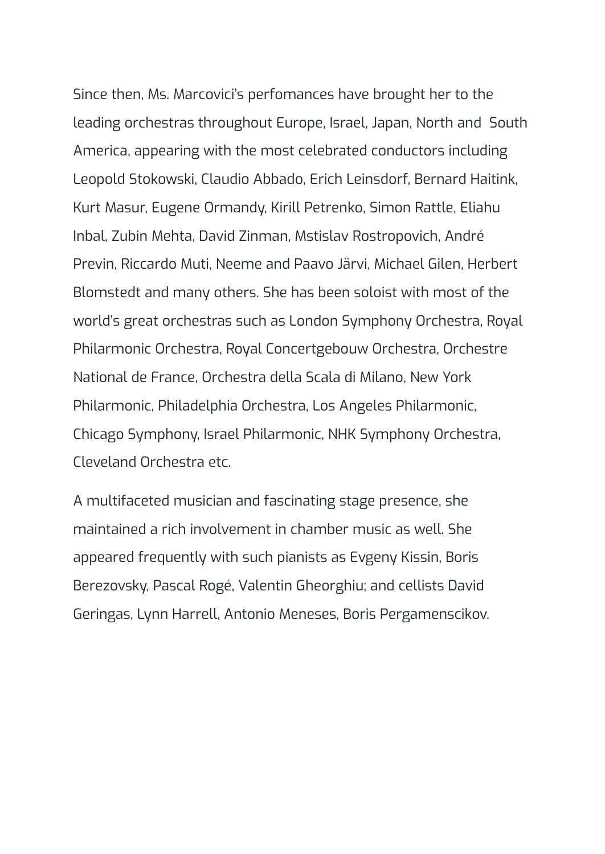Since then, Ms. Marcovici's perfomances have brought her to the leading orchestras throughout Europe, Israel, Japan, North and South America, appearing with the most celebrated conductors including Leopold Stokowski, Claudio Abbado, Erich Leinsdorf, Bernard Haitink, Kurt Masur, Eugene Ormandy, Kirill Petrenko, Simon Rattle, Eliahu Inbal, Zubin Mehta, David Zinman, Mstislav Rostropovich, André Previn, Riccardo Muti, Neeme and Paavo Järvi, Michael Gilen, Herbert Blomstedt and many others. She has been soloist with most of the world's great orchestras such as London Symphony Orchestra, Royal Philarmonic Orchestra, Royal Concertgebouw Orchestra, Orchestre National de France, Orchestra della Scala di Milano, New York Philarmonic, Philadelphia Orchestra, Los Angeles Philarmonic, Chicago Symphony, Israel Philarmonic, NHK Symphony Orchestra, Cleveland Orchestra etc.

A multifaceted musician and fascinating stage presence, she maintained a rich involvement in chamber music as well. She appeared frequently with such pianists as Evgeny Kissin, Boris Berezovsky, Pascal Rogé, Valentin Gheorghiu; and cellists David Geringas, Lynn Harrell, Antonio Meneses, Boris Pergamenscikov.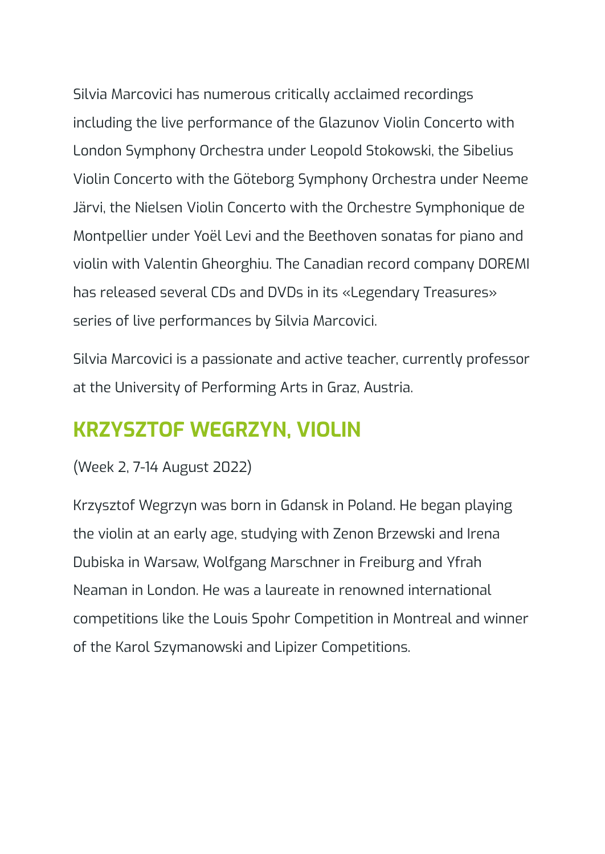Silvia Marcovici has numerous critically acclaimed recordings including the live performance of the Glazunov Violin Concerto with London Symphony Orchestra under Leopold Stokowski, the Sibelius Violin Concerto with the Göteborg Symphony Orchestra under Neeme Järvi, the Nielsen Violin Concerto with the Orchestre Symphonique de Montpellier under Yoël Levi and the Beethoven sonatas for piano and violin with Valentin Gheorghiu. The Canadian record company DOREMI has released several CDs and DVDs in its «Legendary Treasures» series of live performances by Silvia Marcovici.

Silvia Marcovici is a passionate and active teacher, currently professor at the University of Performing Arts in Graz, Austria.

### <span id="page-30-0"></span>**KRZYSZTOF WEGRZYN, VIOLIN**

#### (Week 2, 7-14 August 2022)

Krzysztof Wegrzyn was born in Gdansk in Poland. He began playing the violin at an early age, studying with Zenon Brzewski and Irena Dubiska in Warsaw, Wolfgang Marschner in Freiburg and Yfrah Neaman in London. He was a laureate in renowned international competitions like the Louis Spohr Competition in Montreal and winner of the Karol Szymanowski and Lipizer Competitions.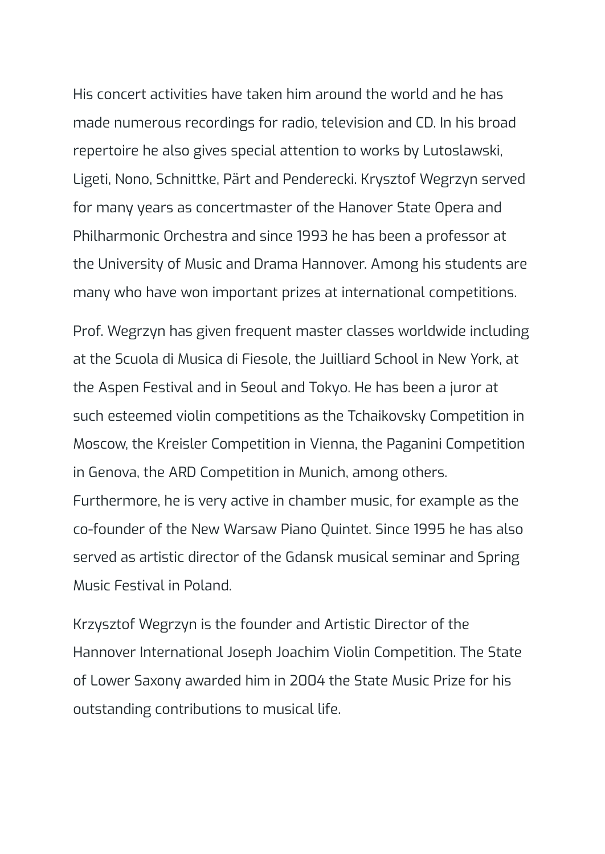His concert activities have taken him around the world and he has made numerous recordings for radio, television and CD. In his broad repertoire he also gives special attention to works by Lutoslawski, Ligeti, Nono, Schnittke, Pärt and Penderecki. Krysztof Wegrzyn served for many years as concertmaster of the Hanover State Opera and Philharmonic Orchestra and since 1993 he has been a professor at the University of Music and Drama Hannover. Among his students are many who have won important prizes at international competitions.

Prof. Wegrzyn has given frequent master classes worldwide including at the Scuola di Musica di Fiesole, the Juilliard School in New York, at the Aspen Festival and in Seoul and Tokyo. He has been a juror at such esteemed violin competitions as the Tchaikovsky Competition in Moscow, the Kreisler Competition in Vienna, the Paganini Competition in Genova, the ARD Competition in Munich, among others. Furthermore, he is very active in chamber music, for example as the co-founder of the New Warsaw Piano Quintet. Since 1995 he has also served as artistic director of the Gdansk musical seminar and Spring

Music Festival in Poland.

Krzysztof Wegrzyn is the founder and Artistic Director of the Hannover International Joseph Joachim Violin Competition. The State of Lower Saxony awarded him in 2004 the State Music Prize for his outstanding contributions to musical life.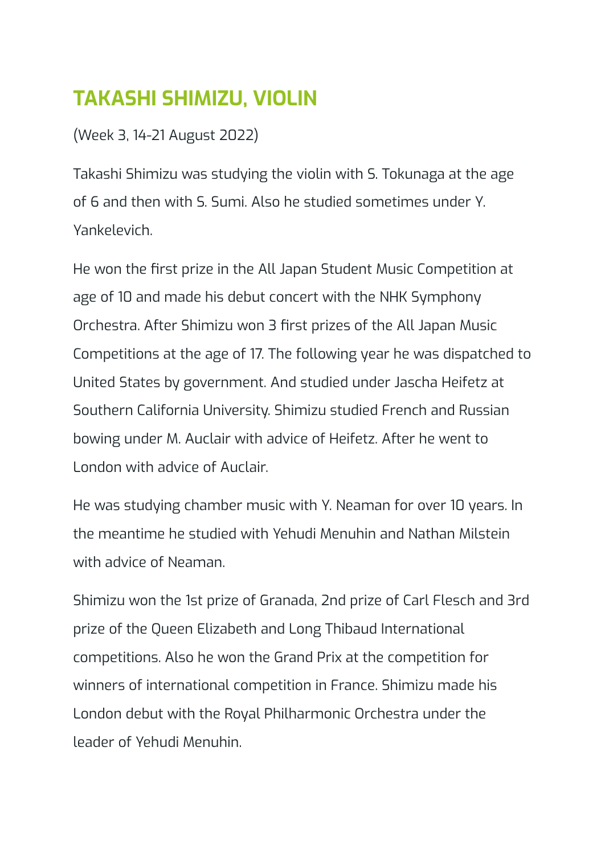## <span id="page-32-0"></span>**TAKASHI SHIMIZU, VIOLIN**

(Week 3, 14-21 August 2022)

Takashi Shimizu was studying the violin with S. Tokunaga at the age of 6 and then with S. Sumi. Also he studied sometimes under Y. Yankelevich.

He won the first prize in the All Japan Student Music Competition at age of 10 and made his debut concert with the NHK Symphony Orchestra. After Shimizu won 3 first prizes of the All Japan Music Competitions at the age of 17. The following year he was dispatched to United States by government. And studied under Jascha Heifetz at Southern California University. Shimizu studied French and Russian bowing under M. Auclair with advice of Heifetz. After he went to London with advice of Auclair.

He was studying chamber music with Y. Neaman for over 10 years. In the meantime he studied with Yehudi Menuhin and Nathan Milstein with advice of Neaman.

Shimizu won the 1st prize of Granada, 2nd prize of Carl Flesch and 3rd prize of the Queen Elizabeth and Long Thibaud International competitions. Also he won the Grand Prix at the competition for winners of international competition in France. Shimizu made his London debut with the Royal Philharmonic Orchestra under the leader of Yehudi Menuhin.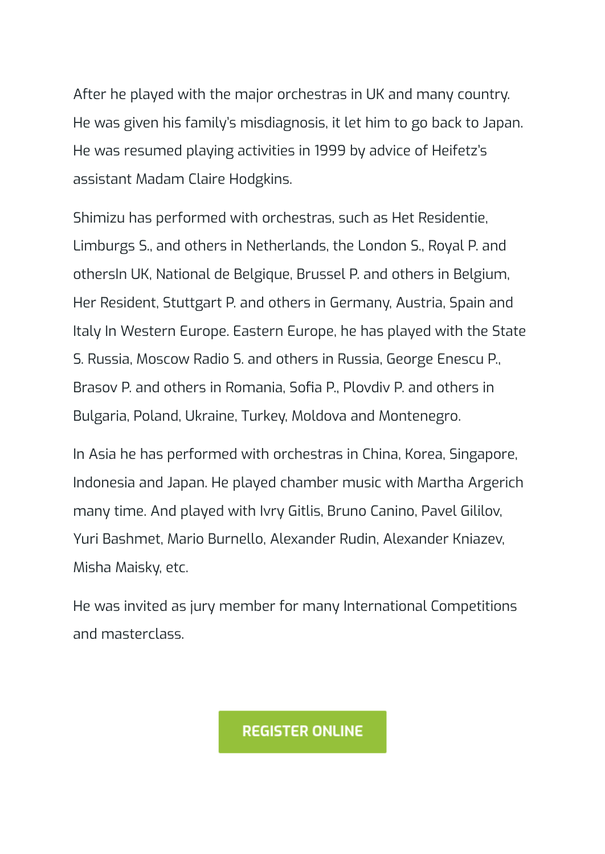After he played with the major orchestras in UK and many country. He was given his family's misdiagnosis, it let him to go back to Japan. He was resumed playing activities in 1999 by advice of Heifetz's assistant Madam Claire Hodgkins.

Shimizu has performed with orchestras, such as Het Residentie, Limburgs S., and others in Netherlands, the London S., Royal P. and othersIn UK, National de Belgique, Brussel P. and others in Belgium, Her Resident, Stuttgart P. and others in Germany, Austria, Spain and Italy In Western Europe. Eastern Europe, he has played with the State S. Russia, Moscow Radio S. and others in Russia, George Enescu P., Brasov P. and others in Romania, Sofia P., Plovdiv P. and others in Bulgaria, Poland, Ukraine, Turkey, Moldova and Montenegro.

In Asia he has performed with orchestras in China, Korea, Singapore, Indonesia and Japan. He played chamber music with Martha Argerich many time. And played with Ivry Gitlis, Bruno Canino, Pavel Gililov, Yuri Bashmet, Mario Burnello, Alexander Rudin, Alexander Kniazev, Misha Maisky, etc.

He was invited as jury member for many International Competitions and masterclass.

**REGISTER ONLINE**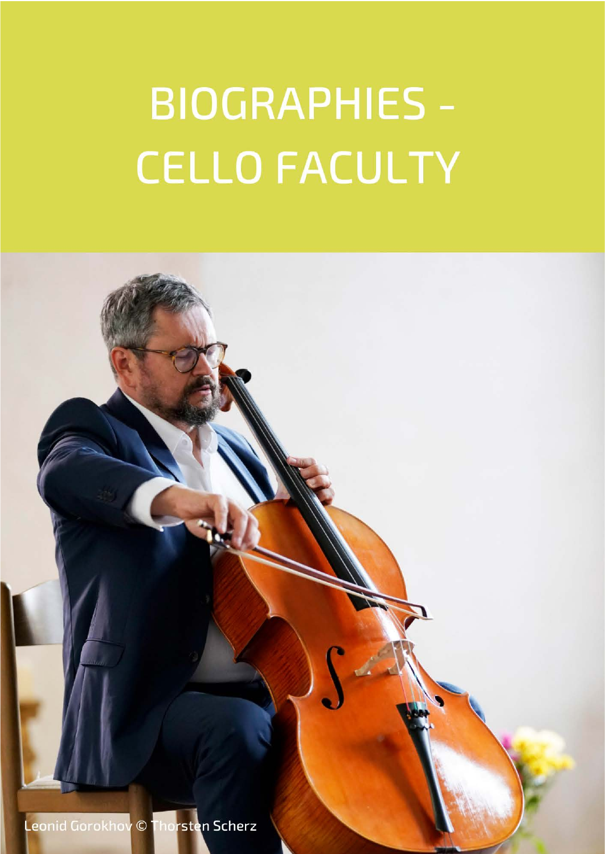# **BIOGRAPHIES -CELLO FACULTY**

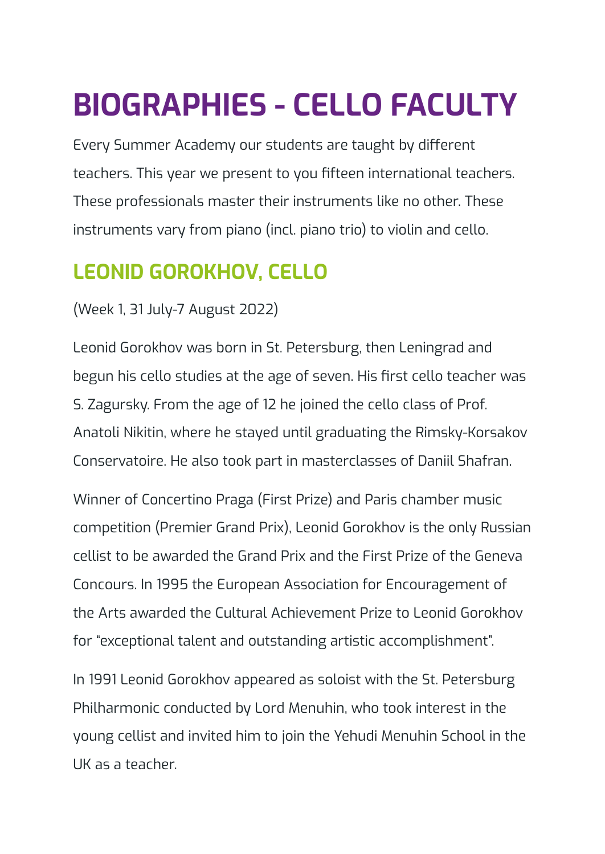## <span id="page-35-0"></span>**BIOGRAPHIES - CELLO FACULTY**

Every Summer Academy our students are taught by different teachers. This year we present to you fifteen international teachers. These professionals master their instruments like no other. These instruments vary from piano (incl. piano trio) to violin and cello.

## <span id="page-35-1"></span>**LEONID GOROKHOV, CELLO**

#### (Week 1, 31 July-7 August 2022)

Leonid Gorokhov was born in St. Petersburg, then Leningrad and begun his cello studies at the age of seven. His first cello teacher was S. Zagursky. From the age of 12 he joined the cello class of Prof. Anatoli Nikitin, where he stayed until graduating the Rimsky-Korsakov Conservatoire. He also took part in masterclasses of Daniil Shafran.

Winner of Concertino Praga (First Prize) and Paris chamber music competition (Premier Grand Prix), Leonid Gorokhov is the only Russian cellist to be awarded the Grand Prix and the First Prize of the Geneva Concours. In 1995 the European Association for Encouragement of the Arts awarded the Cultural Achievement Prize to Leonid Gorokhov for "exceptional talent and outstanding artistic accomplishment".

In 1991 Leonid Gorokhov appeared as soloist with the St. Petersburg Philharmonic conducted by Lord Menuhin, who took interest in the young cellist and invited him to join the Yehudi Menuhin School in the UK as a teacher.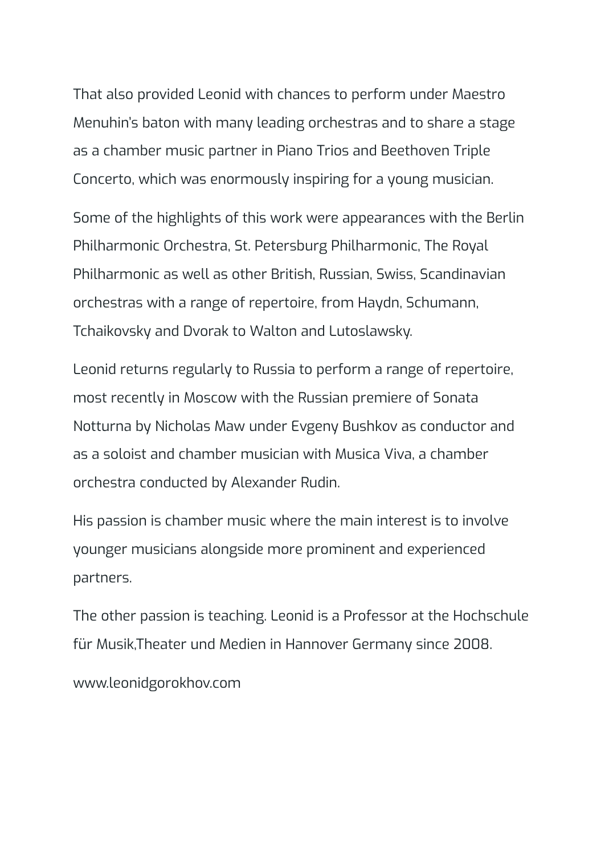That also provided Leonid with chances to perform under Maestro Menuhin's baton with many leading orchestras and to share a stage as a chamber music partner in Piano Trios and Beethoven Triple Concerto, which was enormously inspiring for a young musician.

Some of the highlights of this work were appearances with the Berlin Philharmonic Orchestra, St. Petersburg Philharmonic, The Royal Philharmonic as well as other British, Russian, Swiss, Scandinavian orchestras with a range of repertoire, from Haydn, Schumann, Tchaikovsky and Dvorak to Walton and Lutoslawsky.

Leonid returns regularly to Russia to perform a range of repertoire, most recently in Moscow with the Russian premiere of Sonata Notturna by Nicholas Maw under Evgeny Bushkov as conductor and as a soloist and chamber musician with Musica Viva, a chamber orchestra conducted by Alexander Rudin.

His passion is chamber music where the main interest is to involve younger musicians alongside more prominent and experienced partners.

The other passion is teaching. Leonid is a Professor at the Hochschule für Musik,Theater und Medien in Hannover Germany since 2008.

www.leonidgorokhov.com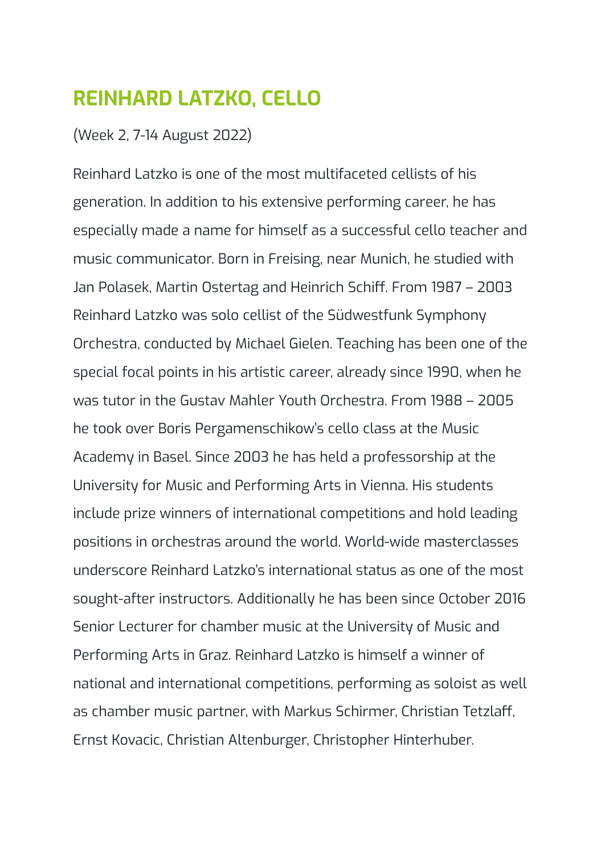### <span id="page-37-0"></span>**REINHARD LATZKO, CELLO**

#### (Week 2, 7-14 August 2022)

Reinhard Latzko is one of the most multifaceted cellists of his generation. In addition to his extensive performing career, he has especially made a name for himself as a successful cello teacher and music communicator. Born in Freising, near Munich, he studied with Jan Polasek, Martin Ostertag and Heinrich Schiff. From 1987 – 2003 Reinhard Latzko was solo cellist of the Südwestfunk Symphony Orchestra, conducted by Michael Gielen. Teaching has been one of the special focal points in his artistic career, already since 1990, when he was tutor in the Gustav Mahler Youth Orchestra. From 1988 – 2005 he took over Boris Pergamenschikow's cello class at the Music Academy in Basel. Since 2003 he has held a professorship at the University for Music and Performing Arts in Vienna. His students include prize winners of international competitions and hold leading positions in orchestras around the world. World-wide masterclasses underscore Reinhard Latzko's international status as one of the most sought-after instructors. Additionally he has been since October 2016 Senior Lecturer for chamber music at the University of Music and Performing Arts in Graz. Reinhard Latzko is himself a winner of national and international competitions, performing as soloist as well as chamber music partner, with Markus Schirmer, Christian Tetzlaff, Ernst Kovacic, Christian Altenburger, Christopher Hinterhuber.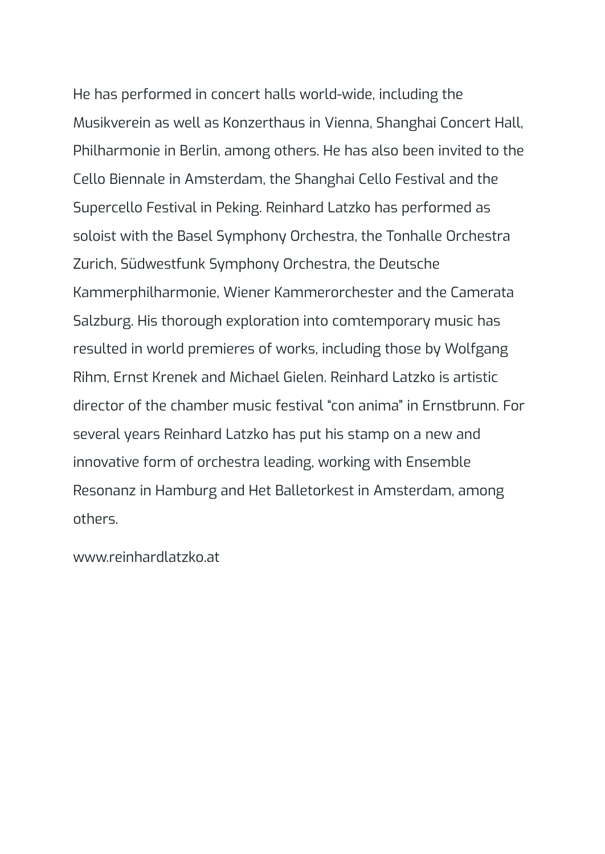He has performed in concert halls world-wide, including the Musikverein as well as Konzerthaus in Vienna, Shanghai Concert Hall, Philharmonie in Berlin, among others. He has also been invited to the Cello Biennale in Amsterdam, the Shanghai Cello Festival and the Supercello Festival in Peking. Reinhard Latzko has performed as soloist with the Basel Symphony Orchestra, the Tonhalle Orchestra Zurich, Südwestfunk Symphony Orchestra, the Deutsche Kammerphilharmonie, Wiener Kammerorchester and the Camerata Salzburg. His thorough exploration into comtemporary music has resulted in world premieres of works, including those by Wolfgang Rihm, Ernst Krenek and Michael Gielen. Reinhard Latzko is artistic director of the chamber music festival "con anima" in Ernstbrunn. For several years Reinhard Latzko has put his stamp on a new and innovative form of orchestra leading, working with Ensemble Resonanz in Hamburg and Het Balletorkest in Amsterdam, among others.

www.reinhardlatzko.at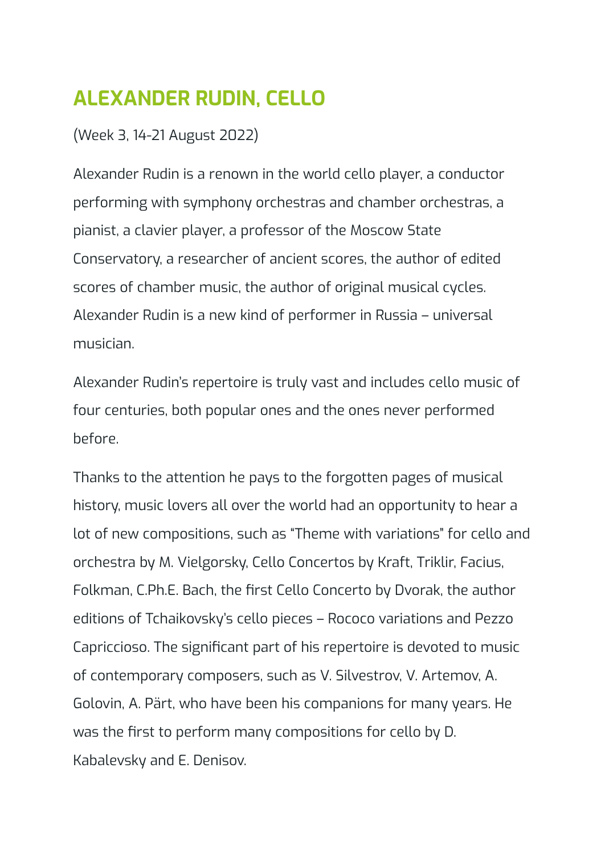## <span id="page-39-0"></span>**ALEXANDER RUDIN, CELLO**

#### (Week 3, 14-21 August 2022)

Alexander Rudin is a renown in the world cello player, a conductor performing with symphony orchestras and chamber orchestras, a pianist, a clavier player, a professor of the Moscow State Conservatory, a researcher of ancient scores, the author of edited scores of chamber music, the author of original musical cycles. Alexander Rudin is a new kind of performer in Russia – universal musician.

Alexander Rudin's repertoire is truly vast and includes cello music of four centuries, both popular ones and the ones never performed before.

Thanks to the attention he pays to the forgotten pages of musical history, music lovers all over the world had an opportunity to hear a lot of new compositions, such as "Theme with variations" for cello and orchestra by M. Vielgorsky, Cello Concertos by Kraft, Triklir, Facius, Folkman, C.Ph.E. Bach, the first Cello Concerto by Dvorak, the author editions of Tchaikovsky's cello pieces – Rococo variations and Pezzo Capriccioso. The significant part of his repertoire is devoted to music of contemporary composers, such as V. Silvestrov, V. Artemov, A. Golovin, A. Pärt, who have been his companions for many years. He was the first to perform many compositions for cello by D. Kabalevsky and E. Denisov.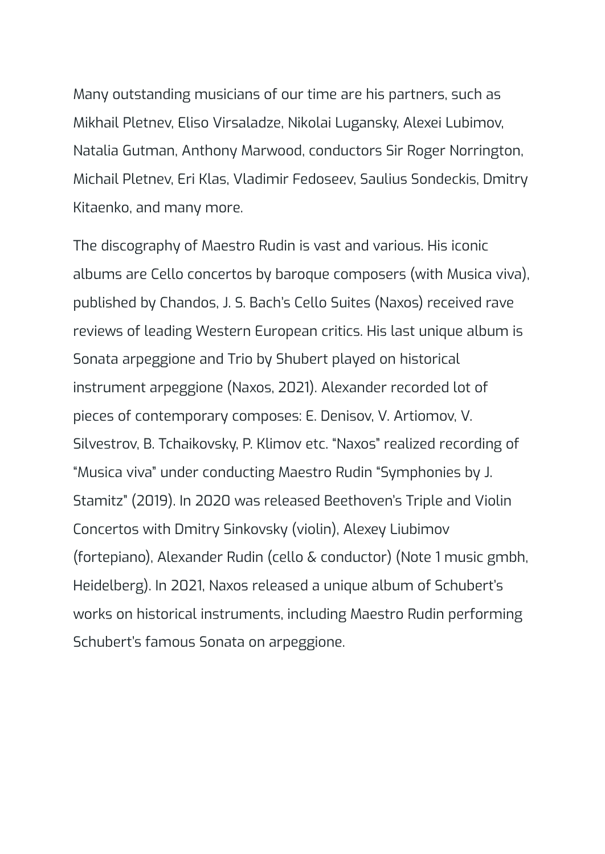Many outstanding musicians of our time are his partners, such as Mikhail Pletnev, Eliso Virsaladze, Nikolai Lugansky, Alexei Lubimov, Natalia Gutman, Anthony Marwood, conductors Sir Roger Norrington, Michail Pletnev, Eri Klas, Vladimir Fedoseev, Saulius Sondeckis, Dmitry Kitaenko, and many more.

The discography of Maestro Rudin is vast and various. His iconic albums are Cello concertos by baroque composers (with Musica viva), published by Chandos, J. S. Bach's Cello Suites (Naxos) received rave reviews of leading Western European critics. His last unique album is Sonata arpeggione and Trio by Shubert played on historical instrument arpeggione (Naxos, 2021). Alexander recorded lot of pieces of contemporary composes: E. Denisov, V. Artiomov, V. Silvestrov, B. Tchaikovsky, P. Klimov etc. "Naxos" realized recording of "Musica viva" under conducting Maestro Rudin "Symphonies by J. Stamitz" (2019). In 2020 was released Beethoven's Triple and Violin Concertos with Dmitry Sinkovsky (violin), Alexey Liubimov (fortepiano), Alexander Rudin (cello & conductor) (Note 1 music gmbh, Heidelberg). In 2021, Naxos released a unique album of Schubert's works on historical instruments, including Maestro Rudin performing Schubert's famous Sonata on arpeggione.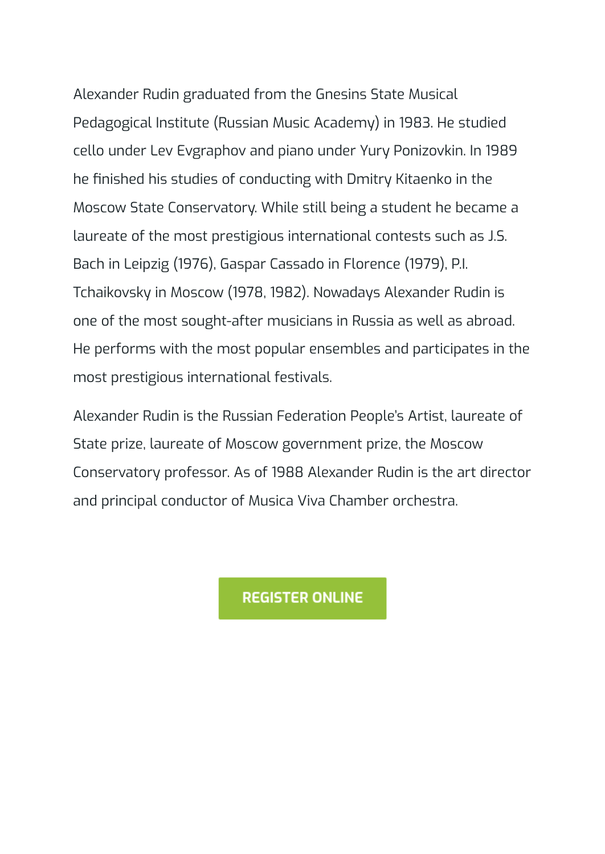Alexander Rudin graduated from the Gnesins State Musical Pedagogical Institute (Russian Music Academy) in 1983. He studied cello under Lev Evgraphov and piano under Yury Ponizovkin. In 1989 he finished his studies of conducting with Dmitry Kitaenko in the Moscow State Conservatory. While still being a student he became a laureate of the most prestigious international contests such as J.S. Bach in Leipzig (1976), Gaspar Cassado in Florence (1979), P.I. Tchaikovsky in Moscow (1978, 1982). Nowadays Alexander Rudin is one of the most sought-after musicians in Russia as well as abroad. He performs with the most popular ensembles and participates in the most prestigious international festivals.

Alexander Rudin is the Russian Federation People's Artist, laureate of State prize, laureate of Moscow government prize, the Moscow Conservatory professor. As of 1988 Alexander Rudin is the art director and principal conductor of Musica Viva Chamber orchestra.

**REGISTER ONLINE**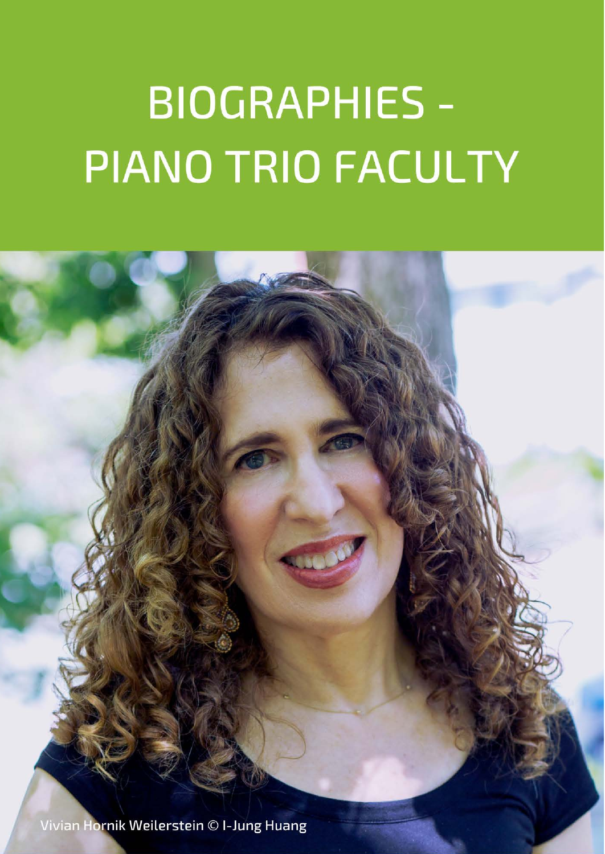# **BIOGRAPHIES -**PIANO TRIO FACULTY

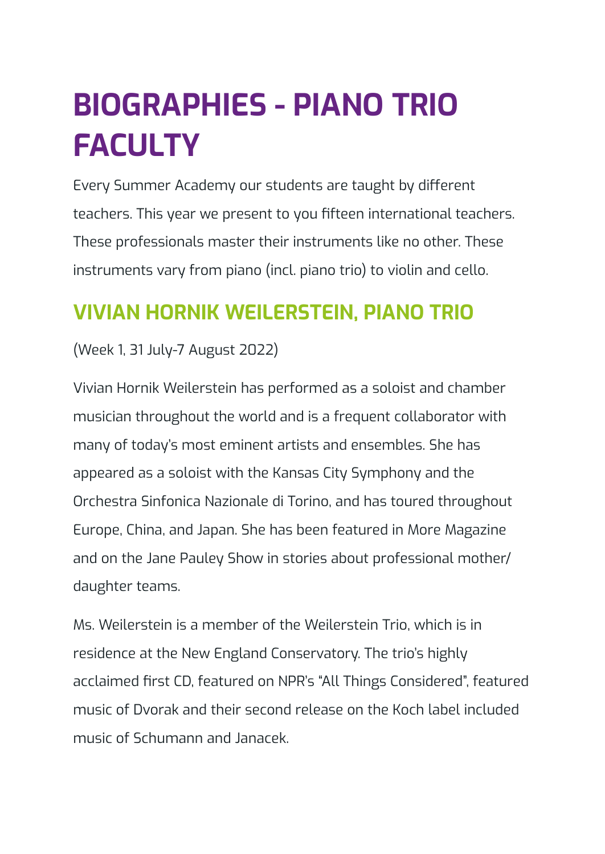## <span id="page-43-0"></span>**BIOGRAPHIES - PIANO TRIO FACULTY**

Every Summer Academy our students are taught by different teachers. This year we present to you fifteen international teachers. These professionals master their instruments like no other. These instruments vary from piano (incl. piano trio) to violin and cello.

### <span id="page-43-1"></span>**VIVIAN HORNIK WEILERSTEIN, PIANO TRIO**

#### (Week 1, 31 July-7 August 2022)

Vivian Hornik Weilerstein has performed as a soloist and chamber musician throughout the world and is a frequent collaborator with many of today's most eminent artists and ensembles. She has appeared as a soloist with the Kansas City Symphony and the Orchestra Sinfonica Nazionale di Torino, and has toured throughout Europe, China, and Japan. She has been featured in More Magazine and on the Jane Pauley Show in stories about professional mother/ daughter teams.

Ms. Weilerstein is a member of the Weilerstein Trio, which is in residence at the New England Conservatory. The trio's highly acclaimed first CD, featured on NPR's "All Things Considered", featured music of Dvorak and their second release on the Koch label included music of Schumann and Janacek.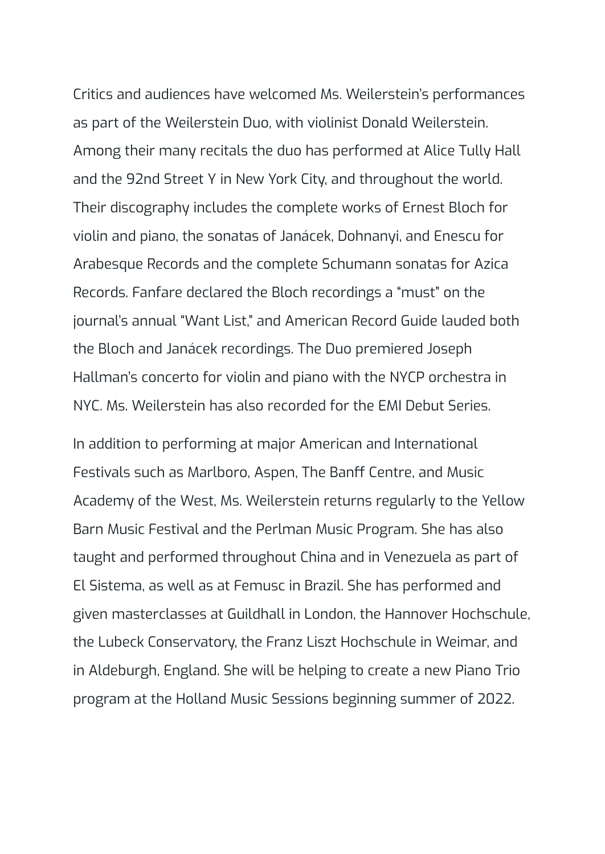Critics and audiences have welcomed Ms. Weilerstein's performances as part of the Weilerstein Duo, with violinist Donald Weilerstein. Among their many recitals the duo has performed at Alice Tully Hall and the 92nd Street Y in New York City, and throughout the world. Their discography includes the complete works of Ernest Bloch for violin and piano, the sonatas of Janácek, Dohnanyi, and Enescu for Arabesque Records and the complete Schumann sonatas for Azica Records. Fanfare declared the Bloch recordings a "must" on the journal's annual "Want List," and American Record Guide lauded both the Bloch and Janácek recordings. The Duo premiered Joseph Hallman's concerto for violin and piano with the NYCP orchestra in NYC. Ms. Weilerstein has also recorded for the EMI Debut Series.

In addition to performing at major American and International Festivals such as Marlboro, Aspen, The Banff Centre, and Music Academy of the West, Ms. Weilerstein returns regularly to the Yellow Barn Music Festival and the Perlman Music Program. She has also taught and performed throughout China and in Venezuela as part of El Sistema, as well as at Femusc in Brazil. She has performed and given masterclasses at Guildhall in London, the Hannover Hochschule, the Lubeck Conservatory, the Franz Liszt Hochschule in Weimar, and in Aldeburgh, England. She will be helping to create a new Piano Trio program at the Holland Music Sessions beginning summer of 2022.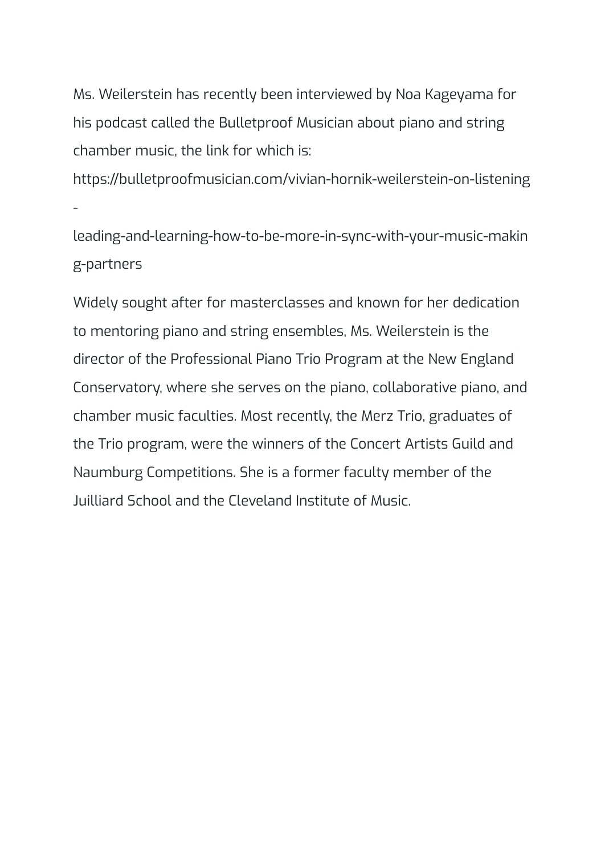Ms. Weilerstein has recently been interviewed by Noa Kageyama for his podcast called the Bulletproof Musician about piano and string chamber music, the link for which is:

https://bulletproofmusician.com/vivian-hornik-weilerstein-on-listening -

leading-and-learning-how-to-be-more-in-sync-with-your-music-makin g-partners

Widely sought after for masterclasses and known for her dedication to mentoring piano and string ensembles, Ms. Weilerstein is the director of the Professional Piano Trio Program at the New England Conservatory, where she serves on the piano, collaborative piano, and chamber music faculties. Most recently, the Merz Trio, graduates of the Trio program, were the winners of the Concert Artists Guild and Naumburg Competitions. She is a former faculty member of the Juilliard School and the Cleveland Institute of Music.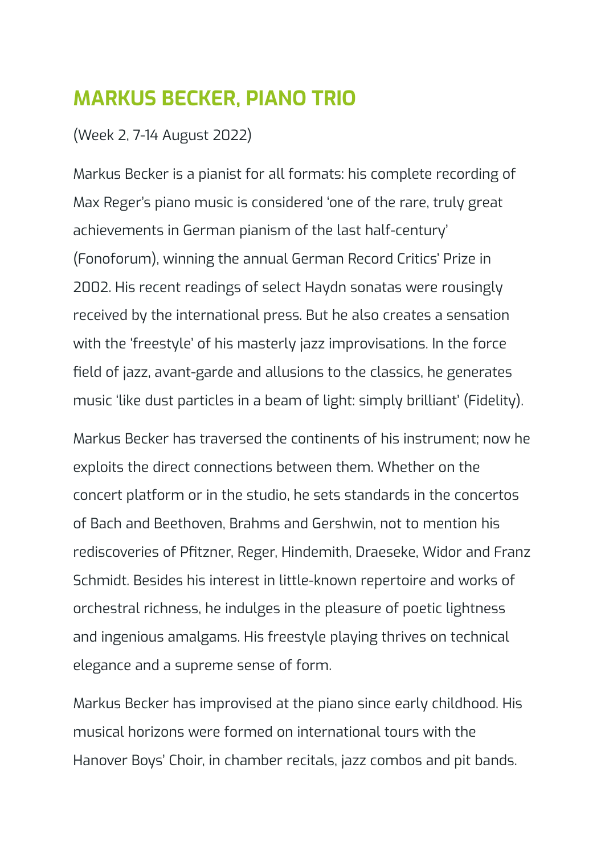### <span id="page-46-0"></span>**MARKUS BECKER, PIANO TRIO**

#### (Week 2, 7-14 August 2022)

Markus Becker is a pianist for all formats: his complete recording of Max Reger's piano music is considered 'one of the rare, truly great achievements in German pianism of the last half-century' (Fonoforum), winning the annual German Record Critics' Prize in 2002. His recent readings of select Haydn sonatas were rousingly received by the international press. But he also creates a sensation with the 'freestyle' of his masterly jazz improvisations. In the force field of jazz, avant-garde and allusions to the classics, he generates music 'like dust particles in a beam of light: simply brilliant' (Fidelity).

Markus Becker has traversed the continents of his instrument; now he exploits the direct connections between them. Whether on the concert platform or in the studio, he sets standards in the concertos of Bach and Beethoven, Brahms and Gershwin, not to mention his rediscoveries of Pfitzner, Reger, Hindemith, Draeseke, Widor and Franz Schmidt. Besides his interest in little-known repertoire and works of orchestral richness, he indulges in the pleasure of poetic lightness and ingenious amalgams. His freestyle playing thrives on technical elegance and a supreme sense of form.

Markus Becker has improvised at the piano since early childhood. His musical horizons were formed on international tours with the Hanover Boys' Choir, in chamber recitals, jazz combos and pit bands.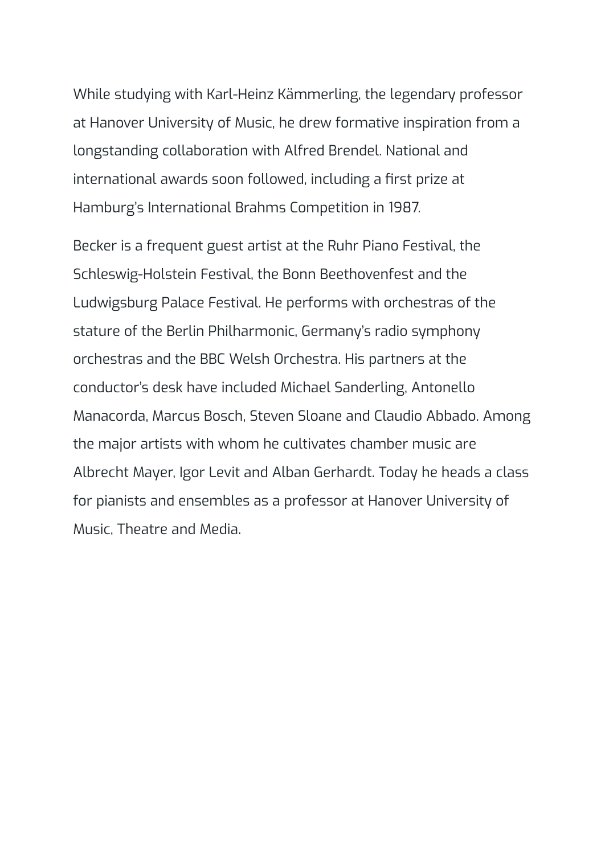While studying with Karl-Heinz Kämmerling, the legendary professor at Hanover University of Music, he drew formative inspiration from a longstanding collaboration with Alfred Brendel. National and international awards soon followed, including a first prize at Hamburg's International Brahms Competition in 1987.

Becker is a frequent guest artist at the Ruhr Piano Festival, the Schleswig-Holstein Festival, the Bonn Beethovenfest and the Ludwigsburg Palace Festival. He performs with orchestras of the stature of the Berlin Philharmonic, Germany's radio symphony orchestras and the BBC Welsh Orchestra. His partners at the conductor's desk have included Michael Sanderling, Antonello Manacorda, Marcus Bosch, Steven Sloane and Claudio Abbado. Among the major artists with whom he cultivates chamber music are Albrecht Mayer, Igor Levit and Alban Gerhardt. Today he heads a class for pianists and ensembles as a professor at Hanover University of Music, Theatre and Media.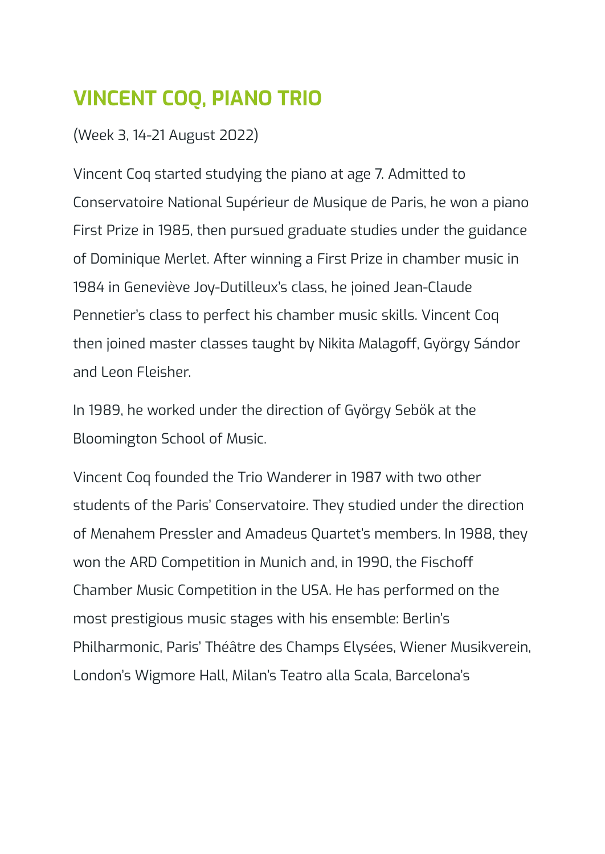## <span id="page-48-0"></span>**VINCENT COQ, PIANO TRIO**

(Week 3, 14-21 August 2022)

Vincent Coq started studying the piano at age 7. Admitted to Conservatoire National Supérieur de Musique de Paris, he won a piano First Prize in 1985, then pursued graduate studies under the guidance of Dominique Merlet. After winning a First Prize in chamber music in 1984 in Geneviève Joy-Dutilleux's class, he joined Jean-Claude Pennetier's class to perfect his chamber music skills. Vincent Coq then joined master classes taught by Nikita Malagoff, György Sándor and Leon Fleisher.

In 1989, he worked under the direction of György Sebök at the Bloomington School of Music.

Vincent Coq founded the Trio Wanderer in 1987 with two other students of the Paris' Conservatoire. They studied under the direction of Menahem Pressler and Amadeus Quartet's members. In 1988, they won the ARD Competition in Munich and, in 1990, the Fischoff Chamber Music Competition in the USA. He has performed on the most prestigious music stages with his ensemble: Berlin's Philharmonic, Paris' Théâtre des Champs Elysées, Wiener Musikverein, London's Wigmore Hall, Milan's Teatro alla Scala, Barcelona's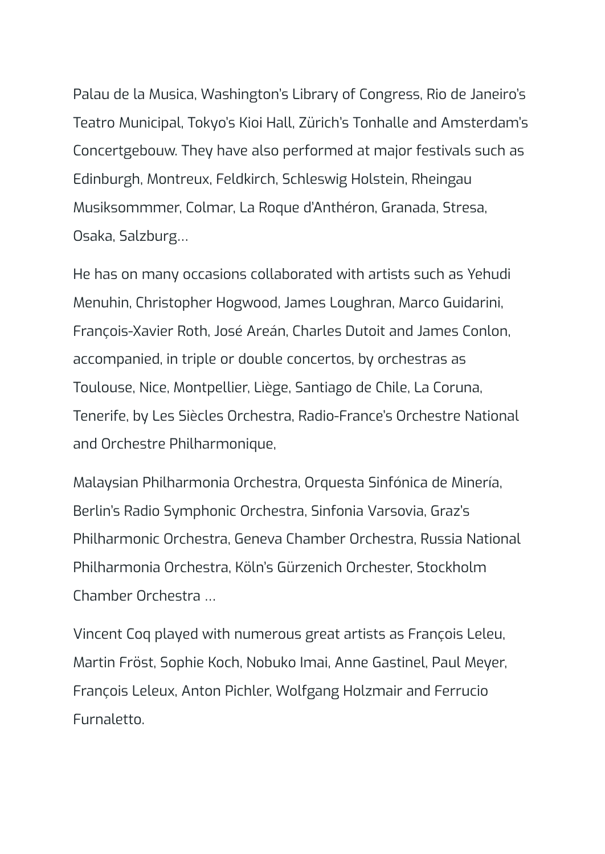Palau de la Musica, Washington's Library of Congress, Rio de Janeiro's Teatro Municipal, Tokyo's Kioi Hall, Zürich's Tonhalle and Amsterdam's Concertgebouw. They have also performed at major festivals such as Edinburgh, Montreux, Feldkirch, Schleswig Holstein, Rheingau Musiksommmer, Colmar, La Roque d'Anthéron, Granada, Stresa, Osaka, Salzburg…

He has on many occasions collaborated with artists such as Yehudi Menuhin, Christopher Hogwood, James Loughran, Marco Guidarini, François-Xavier Roth, José Areán, Charles Dutoit and James Conlon, accompanied, in triple or double concertos, by orchestras as Toulouse, Nice, Montpellier, Liège, Santiago de Chile, La Coruna, Tenerife, by Les Siècles Orchestra, Radio-France's Orchestre National and Orchestre Philharmonique,

Malaysian Philharmonia Orchestra, Orquesta Sinfónica de Minería, Berlin's Radio Symphonic Orchestra, Sinfonia Varsovia, Graz's Philharmonic Orchestra, Geneva Chamber Orchestra, Russia National Philharmonia Orchestra, Köln's Gürzenich Orchester, Stockholm Chamber Orchestra …

Vincent Coq played with numerous great artists as François Leleu, Martin Fröst, Sophie Koch, Nobuko Imai, Anne Gastinel, Paul Meyer, François Leleux, Anton Pichler, Wolfgang Holzmair and Ferrucio Furnaletto.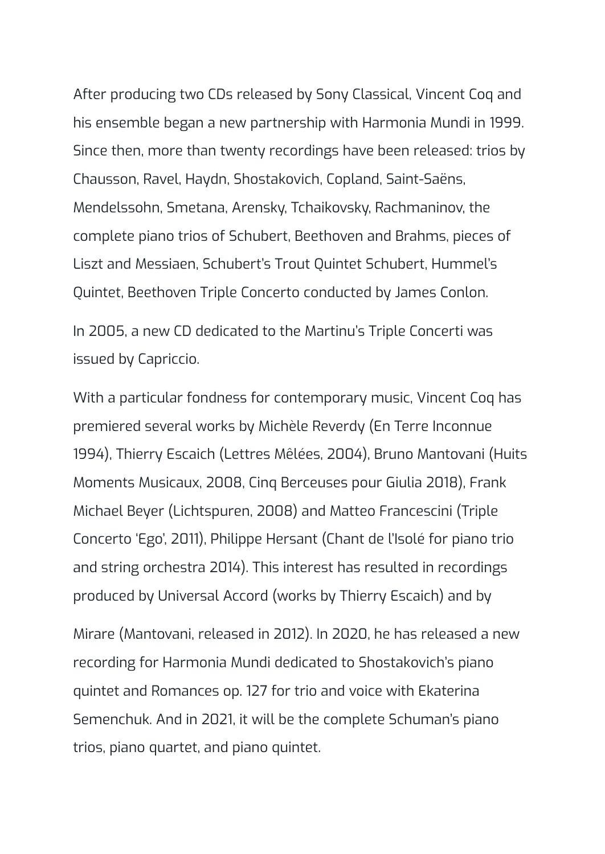After producing two CDs released by Sony Classical, Vincent Coq and his ensemble began a new partnership with Harmonia Mundi in 1999. Since then, more than twenty recordings have been released: trios by Chausson, Ravel, Haydn, Shostakovich, Copland, Saint-Saëns, Mendelssohn, Smetana, Arensky, Tchaikovsky, Rachmaninov, the complete piano trios of Schubert, Beethoven and Brahms, pieces of Liszt and Messiaen, Schubert's Trout Quintet Schubert, Hummel's Quintet, Beethoven Triple Concerto conducted by James Conlon.

In 2005, a new CD dedicated to the Martinu's Triple Concerti was issued by Capriccio.

With a particular fondness for contemporary music, Vincent Coq has premiered several works by Michèle Reverdy (En Terre Inconnue 1994), Thierry Escaich (Lettres Mêlées, 2004), Bruno Mantovani (Huits Moments Musicaux, 2008, Cinq Berceuses pour Giulia 2018), Frank Michael Beyer (Lichtspuren, 2008) and Matteo Francescini (Triple Concerto 'Ego', 2011), Philippe Hersant (Chant de l'Isolé for piano trio and string orchestra 2014). This interest has resulted in recordings produced by Universal Accord (works by Thierry Escaich) and by

Mirare (Mantovani, released in 2012). In 2020, he has released a new recording for Harmonia Mundi dedicated to Shostakovich's piano quintet and Romances op. 127 for trio and voice with Ekaterina Semenchuk. And in 2021, it will be the complete Schuman's piano trios, piano quartet, and piano quintet.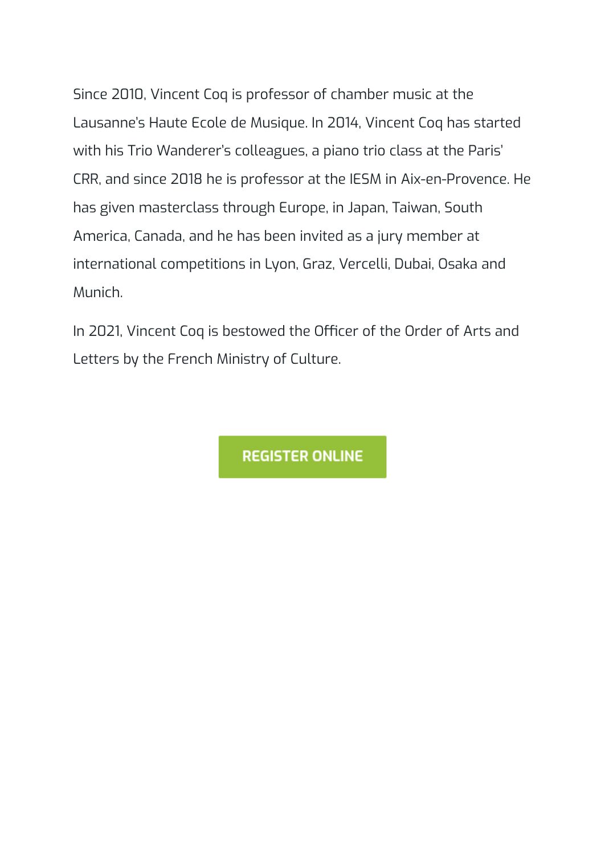Since 2010, Vincent Coq is professor of chamber music at the Lausanne's Haute Ecole de Musique. In 2014, Vincent Coq has started with his Trio Wanderer's colleagues, a piano trio class at the Paris' CRR, and since 2018 he is professor at the IESM in Aix-en-Provence. He has given masterclass through Europe, in Japan, Taiwan, South America, Canada, and he has been invited as a jury member at international competitions in Lyon, Graz, Vercelli, Dubai, Osaka and Munich.

In 2021, Vincent Coq is bestowed the Officer of the Order of Arts and Letters by the French Ministry of Culture.

**REGISTER ONLINE**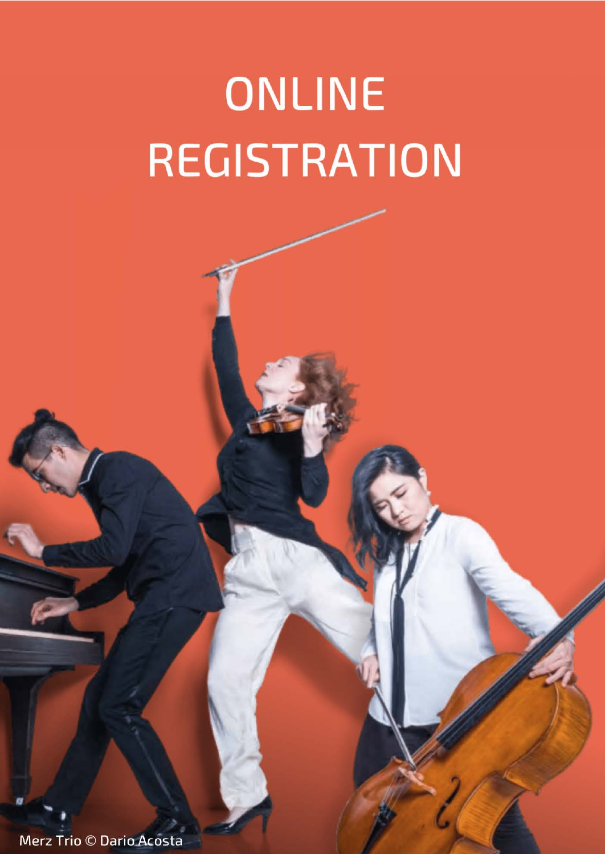# **ONLINE REGISTRATION**

Merz Trio © Dario Acosta